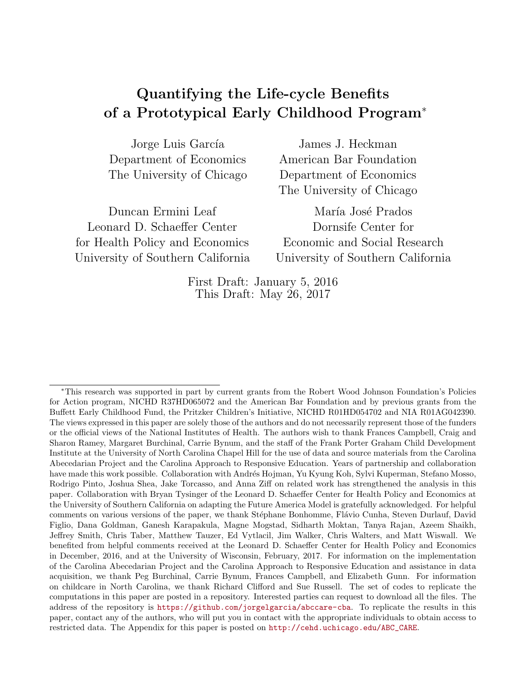## <span id="page-0-0"></span>Quantifying the Life-cycle Benefits of a Prototypical Early Childhood Program<sup>∗</sup>

Jorge Luis García Department of Economics The University of Chicago

Duncan Ermini Leaf Leonard D. Schaeffer Center for Health Policy and Economics University of Southern California

James J. Heckman American Bar Foundation Department of Economics The University of Chicago

María José Prados Dornsife Center for Economic and Social Research University of Southern California

First Draft: January 5, 2016 This Draft: May 26, 2017

<sup>∗</sup>This research was supported in part by current grants from the Robert Wood Johnson Foundation's Policies for Action program, NICHD R37HD065072 and the American Bar Foundation and by previous grants from the Buffett Early Childhood Fund, the Pritzker Children's Initiative, NICHD R01HD054702 and NIA R01AG042390. The views expressed in this paper are solely those of the authors and do not necessarily represent those of the funders or the official views of the National Institutes of Health. The authors wish to thank Frances Campbell, Craig and Sharon Ramey, Margaret Burchinal, Carrie Bynum, and the staff of the Frank Porter Graham Child Development Institute at the University of North Carolina Chapel Hill for the use of data and source materials from the Carolina Abecedarian Project and the Carolina Approach to Responsive Education. Years of partnership and collaboration have made this work possible. Collaboration with Andrés Hojman, Yu Kyung Koh, Sylvi Kuperman, Stefano Mosso, Rodrigo Pinto, Joshua Shea, Jake Torcasso, and Anna Ziff on related work has strengthened the analysis in this paper. Collaboration with Bryan Tysinger of the Leonard D. Schaeffer Center for Health Policy and Economics at the University of Southern California on adapting the Future America Model is gratefully acknowledged. For helpful comments on various versions of the paper, we thank Stéphane Bonhomme, Flávio Cunha, Steven Durlauf, David Figlio, Dana Goldman, Ganesh Karapakula, Magne Mogstad, Sidharth Moktan, Tanya Rajan, Azeem Shaikh, Jeffrey Smith, Chris Taber, Matthew Tauzer, Ed Vytlacil, Jim Walker, Chris Walters, and Matt Wiswall. We benefited from helpful comments received at the Leonard D. Schaeffer Center for Health Policy and Economics in December, 2016, and at the University of Wisconsin, February, 2017. For information on the implementation of the Carolina Abecedarian Project and the Carolina Approach to Responsive Education and assistance in data acquisition, we thank Peg Burchinal, Carrie Bynum, Frances Campbell, and Elizabeth Gunn. For information on childcare in North Carolina, we thank Richard Clifford and Sue Russell. The set of codes to replicate the computations in this paper are posted in a repository. Interested parties can request to download all the files. The address of the repository is <https://github.com/jorgelgarcia/abccare-cba>. To replicate the results in this paper, contact any of the authors, who will put you in contact with the appropriate individuals to obtain access to restricted data. The Appendix for this paper is posted on [http://cehd.uchicago.edu/ABC\\_CARE](http://cehd.uchicago.edu/ABC_CARE).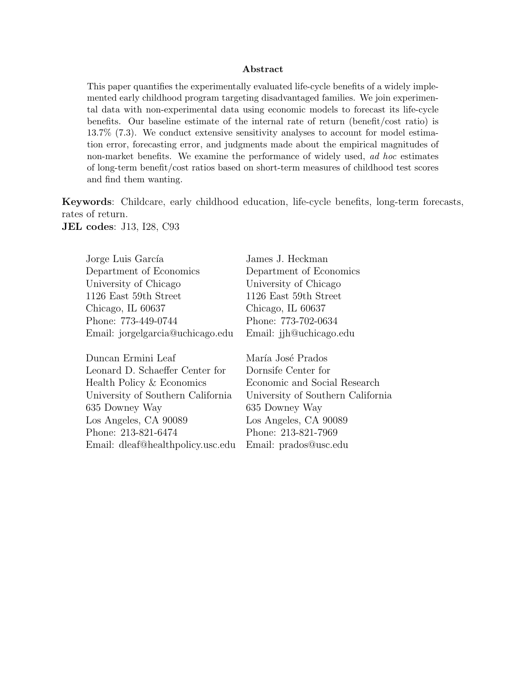#### Abstract

This paper quantifies the experimentally evaluated life-cycle benefits of a widely implemented early childhood program targeting disadvantaged families. We join experimental data with non-experimental data using economic models to forecast its life-cycle benefits. Our baseline estimate of the internal rate of return (benefit/cost ratio) is 13.7% (7.3). We conduct extensive sensitivity analyses to account for model estimation error, forecasting error, and judgments made about the empirical magnitudes of non-market benefits. We examine the performance of widely used, ad hoc estimates of long-term benefit/cost ratios based on short-term measures of childhood test scores and find them wanting.

Keywords: Childcare, early childhood education, life-cycle benefits, long-term forecasts, rates of return.

JEL codes: J13, I28, C93

| Jorge Luis García                | James J. Heckman        |
|----------------------------------|-------------------------|
| Department of Economics          | Department of Economics |
| University of Chicago            | University of Chicago   |
| 1126 East 59th Street            | 1126 East 59th Street   |
| Chicago, IL 60637                | Chicago, IL 60637       |
| Phone: 773-449-0744              | Phone: 773-702-0634     |
| Email: jorgelgarcia@uchicago.edu | Email: jjh@uchicago.edu |
|                                  |                         |

| Duncan Ermini Leaf                | María José Prados                 |
|-----------------------------------|-----------------------------------|
| Leonard D. Schaeffer Center for   | Dornsife Center for               |
| Health Policy & Economics         | Economic and Social Research      |
| University of Southern California | University of Southern California |
| 635 Downey Way                    | 635 Downey Way                    |
| Los Angeles, CA 90089             | Los Angeles, CA 90089             |
| Phone: 213-821-6474               | Phone: 213-821-7969               |
| Email: dleaf@healthpolicy.usc.edu | Email: prados@usc.edu             |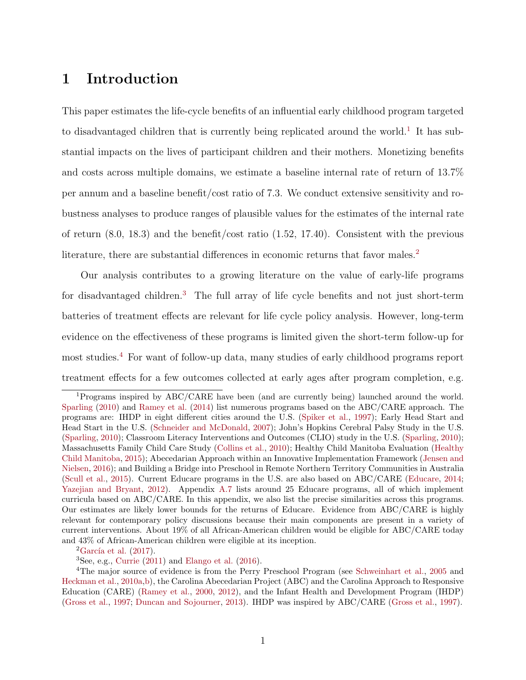## 1 Introduction

This paper estimates the life-cycle benefits of an influential early childhood program targeted to disadvantaged children that is currently being replicated around the world.<sup>[1](#page-0-0)</sup> It has substantial impacts on the lives of participant children and their mothers. Monetizing benefits and costs across multiple domains, we estimate a baseline internal rate of return of 13.7% per annum and a baseline benefit/cost ratio of 7.3. We conduct extensive sensitivity and robustness analyses to produce ranges of plausible values for the estimates of the internal rate of return  $(8.0, 18.3)$  and the benefit/cost ratio  $(1.52, 17.40)$ . Consistent with the previous literature, there are substantial differences in economic returns that favor males.<sup>[2](#page-0-0)</sup>

Our analysis contributes to a growing literature on the value of early-life programs for disadvantaged children.[3](#page-0-0) The full array of life cycle benefits and not just short-term batteries of treatment effects are relevant for life cycle policy analysis. However, long-term evidence on the effectiveness of these programs is limited given the short-term follow-up for most studies.[4](#page-0-0) For want of follow-up data, many studies of early childhood programs report treatment effects for a few outcomes collected at early ages after program completion, e.g.

 ${}^{2}$ García et al. [\(2017\)](#page-48-2).

 ${}^{3}$ See, e.g., [Currie](#page-48-3) [\(2011\)](#page-48-3) and [Elango et al.](#page-48-4) [\(2016\)](#page-48-4).

<sup>1</sup>Programs inspired by ABC/CARE have been (and are currently being) launched around the world. [Sparling](#page-52-0) [\(2010\)](#page-52-0) and [Ramey et al.](#page-51-0) [\(2014\)](#page-51-0) list numerous programs based on the ABC/CARE approach. The programs are: IHDP in eight different cities around the U.S. [\(Spiker et al.,](#page-52-1) [1997\)](#page-52-1); Early Head Start and Head Start in the U.S. [\(Schneider and McDonald,](#page-51-1) [2007\)](#page-51-1); John's Hopkins Cerebral Palsy Study in the U.S. [\(Sparling,](#page-52-0) [2010\)](#page-52-0); Classroom Literacy Interventions and Outcomes (CLIO) study in the U.S. [\(Sparling,](#page-52-0) [2010\)](#page-52-0); Massachusetts Family Child Care Study [\(Collins et al.,](#page-48-0) [2010\)](#page-48-0); Healthy Child Manitoba Evaluation [\(Healthy](#page-49-0) [Child Manitoba,](#page-49-0) [2015\)](#page-49-0); Abecedarian Approach within an Innovative Implementation Framework [\(Jensen and](#page-50-0) [Nielsen,](#page-50-0) [2016\)](#page-50-0); and Building a Bridge into Preschool in Remote Northern Territory Communities in Australia [\(Scull et al.,](#page-51-2) [2015\)](#page-51-2). Current Educare programs in the U.S. are also based on ABC/CARE [\(Educare,](#page-48-1) [2014;](#page-48-1) [Yazejian and Bryant,](#page-52-2) [2012\)](#page-52-2). Appendix [A.7](#page-0-0) lists around 25 Educare programs, all of which implement curricula based on ABC/CARE. In this appendix, we also list the precise similarities across this programs. Our estimates are likely lower bounds for the returns of Educare. Evidence from ABC/CARE is highly relevant for contemporary policy discussions because their main components are present in a variety of current interventions. About 19% of all African-American children would be eligible for ABC/CARE today and 43% of African-American children were eligible at its inception.

<sup>&</sup>lt;sup>4</sup>The major source of evidence is from the Perry Preschool Program (see [Schweinhart et al.,](#page-51-3) [2005](#page-51-3) and [Heckman et al.,](#page-49-1) [2010a,](#page-49-1)[b\)](#page-49-2), the Carolina Abecedarian Project (ABC) and the Carolina Approach to Responsive Education (CARE) [\(Ramey et al.,](#page-51-4) [2000,](#page-51-4) [2012\)](#page-51-5), and the Infant Health and Development Program (IHDP) [\(Gross et al.,](#page-49-3) [1997;](#page-49-3) [Duncan and Sojourner,](#page-48-5) [2013\)](#page-48-5). IHDP was inspired by ABC/CARE [\(Gross et al.,](#page-49-3) [1997\)](#page-49-3).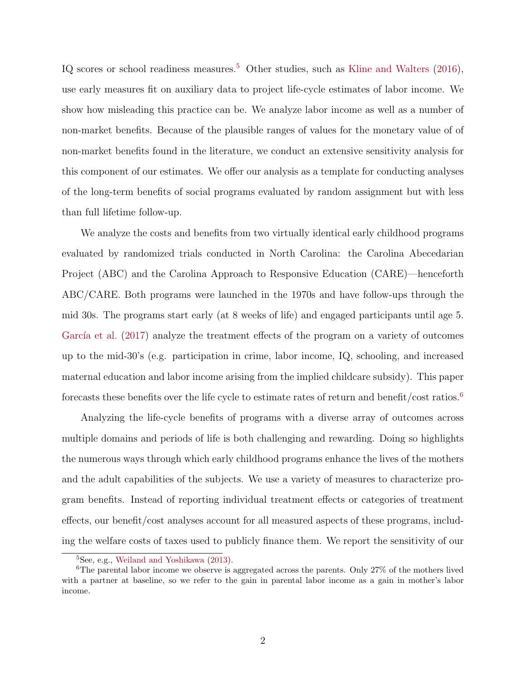IQ scores or school readiness measures.<sup>[5](#page-0-0)</sup> Other studies, such as [Kline and Walters](#page-50-1) [\(2016\)](#page-50-1), use early measures fit on auxiliary data to project life-cycle estimates of labor income. We show how misleading this practice can be. We analyze labor income as well as a number of non-market benefits. Because of the plausible ranges of values for the monetary value of of non-market benefits found in the literature, we conduct an extensive sensitivity analysis for this component of our estimates. We offer our analysis as a template for conducting analyses of the long-term benefits of social programs evaluated by random assignment but with less than full lifetime follow-up.

We analyze the costs and benefits from two virtually identical early childhood programs evaluated by randomized trials conducted in North Carolina: the Carolina Abecedarian Project (ABC) and the Carolina Approach to Responsive Education (CARE)—henceforth ABC/CARE. Both programs were launched in the 1970s and have follow-ups through the mid 30s. The programs start early (at 8 weeks of life) and engaged participants until age 5. García et al.  $(2017)$  analyze the treatment effects of the program on a variety of outcomes up to the mid-30's (e.g. participation in crime, labor income, IQ, schooling, and increased maternal education and labor income arising from the implied childcare subsidy). This paper forecasts these benefits over the life cycle to estimate rates of return and benefit/cost ratios.<sup>[6](#page-0-0)</sup>

Analyzing the life-cycle benefits of programs with a diverse array of outcomes across multiple domains and periods of life is both challenging and rewarding. Doing so highlights the numerous ways through which early childhood programs enhance the lives of the mothers and the adult capabilities of the subjects. We use a variety of measures to characterize program benefits. Instead of reporting individual treatment effects or categories of treatment effects, our benefit/cost analyses account for all measured aspects of these programs, including the welfare costs of taxes used to publicly finance them. We report the sensitivity of our

<sup>5</sup>See, e.g., [Weiland and Yoshikawa](#page-52-3) [\(2013\)](#page-52-3).

<sup>&</sup>lt;sup>6</sup>The parental labor income we observe is aggregated across the parents. Only 27% of the mothers lived with a partner at baseline, so we refer to the gain in parental labor income as a gain in mother's labor income.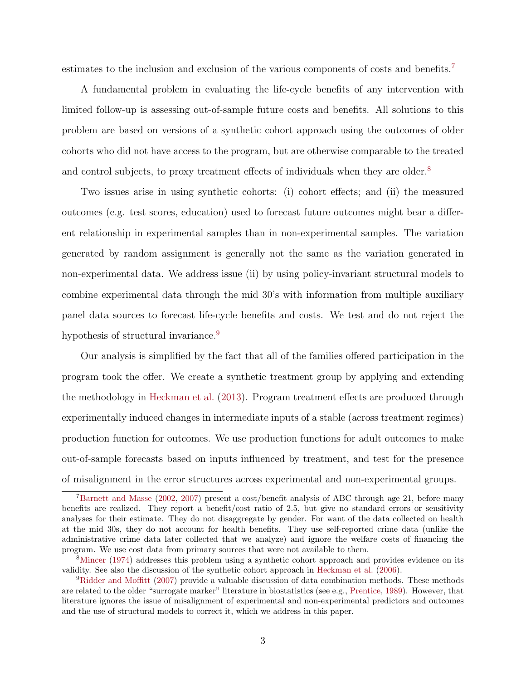estimates to the inclusion and exclusion of the various components of costs and benefits.<sup>[7](#page-0-0)</sup>

A fundamental problem in evaluating the life-cycle benefits of any intervention with limited follow-up is assessing out-of-sample future costs and benefits. All solutions to this problem are based on versions of a synthetic cohort approach using the outcomes of older cohorts who did not have access to the program, but are otherwise comparable to the treated and control subjects, to proxy treatment effects of individuals when they are older.<sup>[8](#page-0-0)</sup>

Two issues arise in using synthetic cohorts: (i) cohort effects; and (ii) the measured outcomes (e.g. test scores, education) used to forecast future outcomes might bear a different relationship in experimental samples than in non-experimental samples. The variation generated by random assignment is generally not the same as the variation generated in non-experimental data. We address issue (ii) by using policy-invariant structural models to combine experimental data through the mid 30's with information from multiple auxiliary panel data sources to forecast life-cycle benefits and costs. We test and do not reject the hypothesis of structural invariance.<sup>[9](#page-0-0)</sup>

Our analysis is simplified by the fact that all of the families offered participation in the program took the offer. We create a synthetic treatment group by applying and extending the methodology in [Heckman et al.](#page-49-4) [\(2013\)](#page-49-4). Program treatment effects are produced through experimentally induced changes in intermediate inputs of a stable (across treatment regimes) production function for outcomes. We use production functions for adult outcomes to make out-of-sample forecasts based on inputs influenced by treatment, and test for the presence of misalignment in the error structures across experimental and non-experimental groups.

<sup>7</sup>[Barnett and Masse](#page-47-0) [\(2002,](#page-47-0) [2007\)](#page-47-1) present a cost/benefit analysis of ABC through age 21, before many benefits are realized. They report a benefit/cost ratio of 2.5, but give no standard errors or sensitivity analyses for their estimate. They do not disaggregate by gender. For want of the data collected on health at the mid 30s, they do not account for health benefits. They use self-reported crime data (unlike the administrative crime data later collected that we analyze) and ignore the welfare costs of financing the program. We use cost data from primary sources that were not available to them.

<sup>&</sup>lt;sup>8</sup>[Mincer](#page-50-2) [\(1974\)](#page-50-2) addresses this problem using a synthetic cohort approach and provides evidence on its validity. See also the discussion of the synthetic cohort approach in [Heckman et al.](#page-49-5) [\(2006\)](#page-49-5).

<sup>9</sup>[Ridder and Moffitt](#page-51-6) [\(2007\)](#page-51-6) provide a valuable discussion of data combination methods. These methods are related to the older "surrogate marker" literature in biostatistics (see e.g., [Prentice,](#page-50-3) [1989\)](#page-50-3). However, that literature ignores the issue of misalignment of experimental and non-experimental predictors and outcomes and the use of structural models to correct it, which we address in this paper.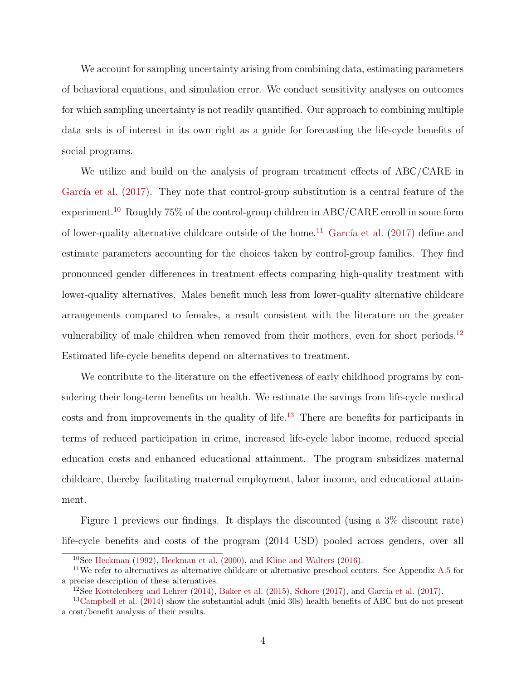We account for sampling uncertainty arising from combining data, estimating parameters of behavioral equations, and simulation error. We conduct sensitivity analyses on outcomes for which sampling uncertainty is not readily quantified. Our approach to combining multiple data sets is of interest in its own right as a guide for forecasting the life-cycle benefits of social programs.

We utilize and build on the analysis of program treatment effects of ABC/CARE in García et al.  $(2017)$ . They note that control-group substitution is a central feature of the experiment.[10](#page-0-0) Roughly 75% of the control-group children in ABC/CARE enroll in some form of lower-quality alternative childcare outside of the home.<sup>[11](#page-0-0)</sup> Garc $(2017)$  define and estimate parameters accounting for the choices taken by control-group families. They find pronounced gender differences in treatment effects comparing high-quality treatment with lower-quality alternatives. Males benefit much less from lower-quality alternative childcare arrangements compared to females, a result consistent with the literature on the greater vulnerability of male children when removed from their mothers, even for short periods.<sup>[12](#page-0-0)</sup> Estimated life-cycle benefits depend on alternatives to treatment.

We contribute to the literature on the effectiveness of early childhood programs by considering their long-term benefits on health. We estimate the savings from life-cycle medical costs and from improvements in the quality of life.<sup>[13](#page-0-0)</sup> There are benefits for participants in terms of reduced participation in crime, increased life-cycle labor income, reduced special education costs and enhanced educational attainment. The program subsidizes maternal childcare, thereby facilitating maternal employment, labor income, and educational attainment.

Figure [1](#page-6-0) previews our findings. It displays the discounted (using a 3% discount rate) life-cycle benefits and costs of the program (2014 USD) pooled across genders, over all

<sup>10</sup>See [Heckman](#page-49-6) [\(1992\)](#page-49-6), [Heckman et al.](#page-49-7) [\(2000\)](#page-49-7), and [Kline and Walters](#page-50-1) [\(2016\)](#page-50-1).

<sup>11</sup>We refer to alternatives as alternative childcare or alternative preschool centers. See Appendix [A.5](#page-0-0) for a precise description of these alternatives.

<sup>&</sup>lt;sup>12</sup>See [Kottelenberg and Lehrer](#page-50-4) [\(2014\)](#page-50-4), [Baker et al.](#page-47-2) [\(2015\)](#page-47-2), [Schore](#page-51-7) [\(2017\)](#page-48-2), and García et al. (2017).

<sup>&</sup>lt;sup>13</sup>[Campbell et al.](#page-47-3) [\(2014\)](#page-47-3) show the substantial adult (mid 30s) health benefits of ABC but do not present a cost/benefit analysis of their results.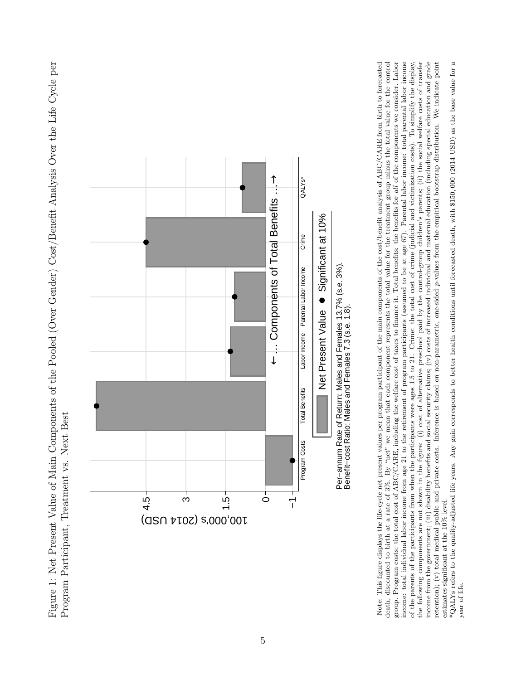Figure 1: Net Present Value of Main Components of the Pooled (Over Gender) Cost/Benefit Analysis Over the Life Cycle per Figure 1: Net Present Value of Main Components of the Pooled (Over Gender) Cost/Benefit Analysis Over the Life Cycle per Program Participant, Treatment vs. Next Best Program Participant, Treatment vs. Next Best

<span id="page-6-0"></span>

Labor income: total individual labor income from age 21 to the retirement of program participants (assumed to be at age 67). Parental labor income: total parental labor income the following components are not shown in the figure: (i) cost of alternative preschool paid by the control-group children's parents; (ii) the social welfare costs of transfer<br>income from the government; (iii) disability death, discounted to birth at a rate of 3%. By "net" we mean that each component represents the total value for the treatment group minus the total value for the control of the parents of the participants from when the participants were ages 1.5 to 21. Crime: the total cost of crime (judicial and victimization costs). To simplify the display, retention);  $(v)$  total medical public and private costs. Inference is based on non-parametric, one-sided p-values from the empirical bootstrap distribution. We indicate point Note: This figure displays the life-cycle net present values per program participant of the main components of the cost/benefit analysis of ABC/CARE from birth to forecasted Note: This figure displays the life-cycle net present values per program participant of the main components of the cost/benefit analysis of ABC/CARE from birth to forecasted death, discounted to birth at a rate of 3%. By "net" we mean that each component represents the total value for the treatment group minus the total value for the control group. Program costs: the total cost of ABC/CARE, including the welfare cost of taxes to finance it. Total benefits: the benefits for all of the components we consider. Labor income: total individual labor income from age 21 to the retirement of program participants (assumed to be at age 67). Parental labor income: total parental labor income of the parents of the participants from when the participants were ages 1.5 to 21. Crime: the total cost of crime (judicial and victimization costs). To simplify the display, the following components are not shown in the figure: (i) cost of alternative preschool paid by the control-group children's parents; (ii) the social welfare costs of transfer income from the government; (iii) disability benefits and social security claims; (iv) costs of increased individual and maternal education (including special education and grade retention); (v) total medical public and private costs. Inference is based on non-parametric, one-sided p-values from the empirical bootstrap distribution. We indicate point group. Program costs: the total cost of ABC/CARE, including the welfare cost of taxes to finance it. Total benefits: the benefits for all of the components we consider. estimates significant at the 10% level. estimates significant at the 10% level.

 $^*Q$ ALYs refers to the quality-adjusted life years. Any gain corresponds to better health conditions until forecasted death, with \$150,000 (2014 USD) as the base value for a \*QALYs refers to the quality-adjusted life years. Any gain corresponds to better health conditions until forecasted death, with \$150, 000 (2014 USD) as the base value for a year of life. year of life.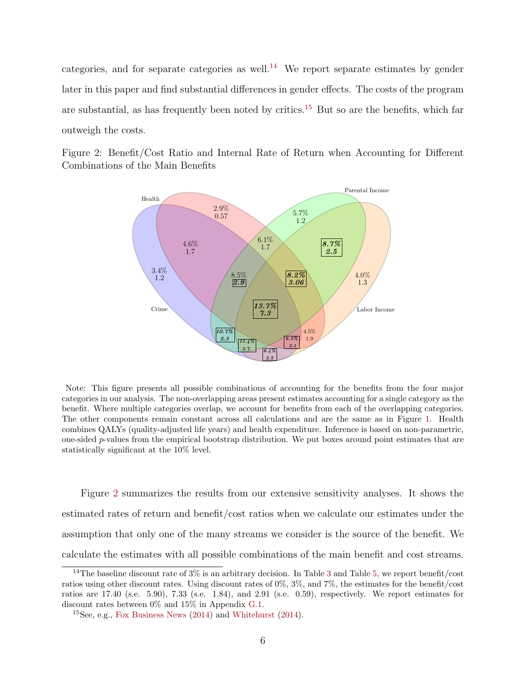categories, and for separate categories as well.<sup>[14](#page-0-0)</sup> We report separate estimates by gender later in this paper and find substantial differences in gender effects. The costs of the program are substantial, as has frequently been noted by critics.<sup>[15](#page-0-0)</sup> But so are the benefits, which far outweigh the costs.

<span id="page-7-0"></span>Figure 2: Benefit/Cost Ratio and Internal Rate of Return when Accounting for Different Combinations of the Main Benefits



Note: This figure presents all possible combinations of accounting for the benefits from the four major categories in our analysis. The non-overlapping areas present estimates accounting for a single category as the benefit. Where multiple categories overlap, we account for benefits from each of the overlapping categories. The other components remain constant across all calculations and are the same as in Figure [1.](#page-6-0) Health combines QALYs (quality-adjusted life years) and health expenditure. Inference is based on non-parametric, one-sided  $p$ -values from the empirical bootstrap distribution. We put boxes around point estimates that are statistically significant at the 10% level.

Figure [2](#page-7-0) summarizes the results from our extensive sensitivity analyses. It shows the estimated rates of return and benefit/cost ratios when we calculate our estimates under the assumption that only one of the many streams we consider is the source of the benefit. We calculate the estimates with all possible combinations of the main benefit and cost streams.

<sup>&</sup>lt;sup>14</sup>The baseline discount rate of  $3\%$  $3\%$  is an arbitrary decision. In Table 3 and Table [5,](#page-41-0) we report benefit/cost ratios using other discount rates. Using discount rates of 0%, 3%, and 7%, the estimates for the benefit/cost ratios are 17.40 (s.e. 5.90), 7.33 (s.e. 1.84), and 2.91 (s.e. 0.59), respectively. We report estimates for discount rates between 0% and 15% in Appendix [G.1.](#page-0-0)

<sup>15</sup>See, e.g., [Fox Business News](#page-48-6) [\(2014\)](#page-48-6) and [Whitehurst](#page-52-4) [\(2014\)](#page-52-4).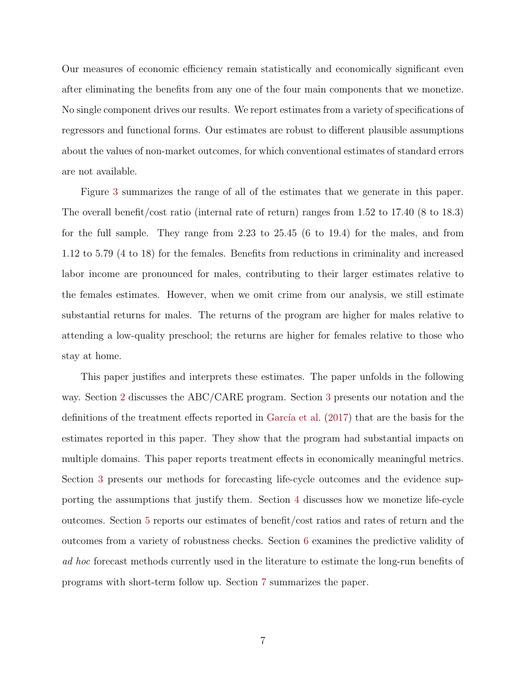Our measures of economic efficiency remain statistically and economically significant even after eliminating the benefits from any one of the four main components that we monetize. No single component drives our results. We report estimates from a variety of specifications of regressors and functional forms. Our estimates are robust to different plausible assumptions about the values of non-market outcomes, for which conventional estimates of standard errors are not available.

Figure [3](#page-9-0) summarizes the range of all of the estimates that we generate in this paper. The overall benefit/cost ratio (internal rate of return) ranges from 1.52 to 17.40 (8 to 18.3) for the full sample. They range from 2.23 to 25.45 (6 to 19.4) for the males, and from 1.12 to 5.79 (4 to 18) for the females. Benefits from reductions in criminality and increased labor income are pronounced for males, contributing to their larger estimates relative to the females estimates. However, when we omit crime from our analysis, we still estimate substantial returns for males. The returns of the program are higher for males relative to attending a low-quality preschool; the returns are higher for females relative to those who stay at home.

This paper justifies and interprets these estimates. The paper unfolds in the following way. Section [2](#page-9-1) discusses the ABC/CARE program. Section [3](#page-12-0) presents our notation and the definitions of the treatment effects reported in García et al.  $(2017)$  that are the basis for the estimates reported in this paper. They show that the program had substantial impacts on multiple domains. This paper reports treatment effects in economically meaningful metrics. Section [3](#page-12-0) presents our methods for forecasting life-cycle outcomes and the evidence supporting the assumptions that justify them. Section [4](#page-29-0) discusses how we monetize life-cycle outcomes. Section [5](#page-36-0) reports our estimates of benefit/cost ratios and rates of return and the outcomes from a variety of robustness checks. Section [6](#page-42-0) examines the predictive validity of ad hoc forecast methods currently used in the literature to estimate the long-run benefits of programs with short-term follow up. Section [7](#page-46-0) summarizes the paper.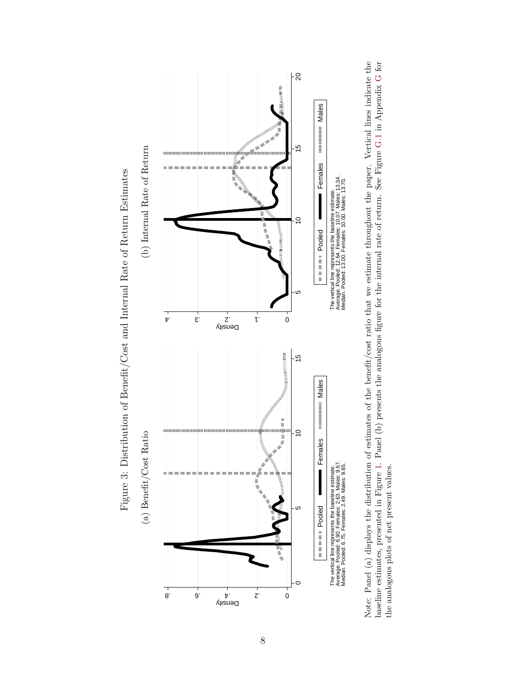<span id="page-9-0"></span>



<span id="page-9-1"></span>8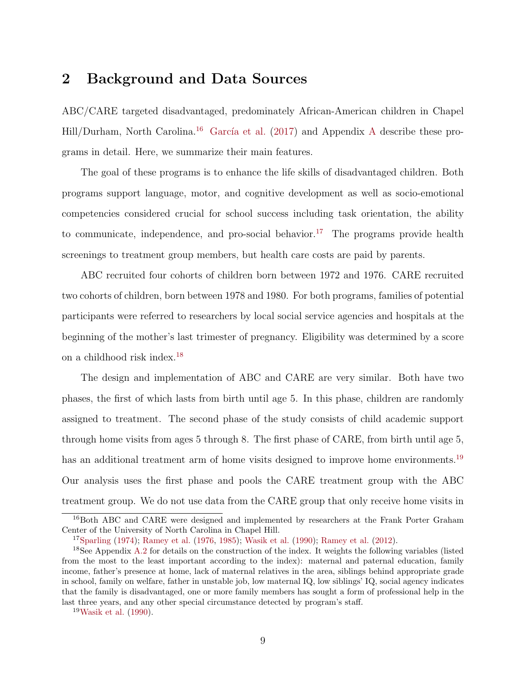## 2 Background and Data Sources

ABC/CARE targeted disadvantaged, predominately African-American children in Chapel Hill/Durham, North Carolina.<sup>[16](#page-0-0)</sup> García et al. [\(2017\)](#page-48-2) and [A](#page-0-0)ppendix A describe these programs in detail. Here, we summarize their main features.

The goal of these programs is to enhance the life skills of disadvantaged children. Both programs support language, motor, and cognitive development as well as socio-emotional competencies considered crucial for school success including task orientation, the ability to communicate, independence, and pro-social behavior.<sup>[17](#page-0-0)</sup> The programs provide health screenings to treatment group members, but health care costs are paid by parents.

ABC recruited four cohorts of children born between 1972 and 1976. CARE recruited two cohorts of children, born between 1978 and 1980. For both programs, families of potential participants were referred to researchers by local social service agencies and hospitals at the beginning of the mother's last trimester of pregnancy. Eligibility was determined by a score on a childhood risk index.[18](#page-0-0)

The design and implementation of ABC and CARE are very similar. Both have two phases, the first of which lasts from birth until age 5. In this phase, children are randomly assigned to treatment. The second phase of the study consists of child academic support through home visits from ages 5 through 8. The first phase of CARE, from birth until age 5, has an additional treatment arm of home visits designed to improve home environments.<sup>[19](#page-0-0)</sup> Our analysis uses the first phase and pools the CARE treatment group with the ABC treatment group. We do not use data from the CARE group that only receive home visits in

<sup>&</sup>lt;sup>16</sup>Both ABC and CARE were designed and implemented by researchers at the Frank Porter Graham Center of the University of North Carolina in Chapel Hill.

<sup>17</sup>[Sparling](#page-52-5) [\(1974\)](#page-52-5); [Ramey et al.](#page-51-8) [\(1976,](#page-51-8) [1985\)](#page-50-5); [Wasik et al.](#page-52-6) [\(1990\)](#page-52-6); [Ramey et al.](#page-51-5) [\(2012\)](#page-51-5).

<sup>18</sup>See Appendix [A.2](#page-0-0) for details on the construction of the index. It weights the following variables (listed from the most to the least important according to the index): maternal and paternal education, family income, father's presence at home, lack of maternal relatives in the area, siblings behind appropriate grade in school, family on welfare, father in unstable job, low maternal IQ, low siblings' IQ, social agency indicates that the family is disadvantaged, one or more family members has sought a form of professional help in the last three years, and any other special circumstance detected by program's staff.

 $19$ [Wasik et al.](#page-52-6) [\(1990\)](#page-52-6).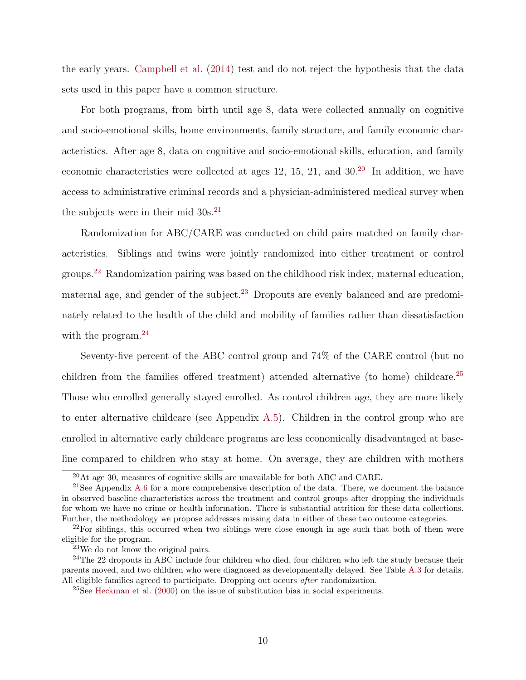the early years. [Campbell et al.](#page-47-3) [\(2014\)](#page-47-3) test and do not reject the hypothesis that the data sets used in this paper have a common structure.

For both programs, from birth until age 8, data were collected annually on cognitive and socio-emotional skills, home environments, family structure, and family economic characteristics. After age 8, data on cognitive and socio-emotional skills, education, and family economic characteristics were collected at ages 12, 15, 21, and  $30<sup>20</sup>$  $30<sup>20</sup>$  $30<sup>20</sup>$  In addition, we have access to administrative criminal records and a physician-administered medical survey when the subjects were in their mid  $30s^{21}$  $30s^{21}$  $30s^{21}$ 

Randomization for ABC/CARE was conducted on child pairs matched on family characteristics. Siblings and twins were jointly randomized into either treatment or control groups.[22](#page-0-0) Randomization pairing was based on the childhood risk index, maternal education, maternal age, and gender of the subject.<sup>[23](#page-0-0)</sup> Dropouts are evenly balanced and are predominately related to the health of the child and mobility of families rather than dissatisfaction with the program.<sup>[24](#page-0-0)</sup>

Seventy-five percent of the ABC control group and 74% of the CARE control (but no children from the families offered treatment) attended alternative (to home) childcare.<sup>[25](#page-0-0)</sup> Those who enrolled generally stayed enrolled. As control children age, they are more likely to enter alternative childcare (see Appendix [A.5\)](#page-0-0). Children in the control group who are enrolled in alternative early childcare programs are less economically disadvantaged at baseline compared to children who stay at home. On average, they are children with mothers

<sup>&</sup>lt;sup>20</sup>At age 30, measures of cognitive skills are unavailable for both ABC and CARE.

<sup>&</sup>lt;sup>21</sup>See Appendix [A.6](#page-0-0) for a more comprehensive description of the data. There, we document the balance in observed baseline characteristics across the treatment and control groups after dropping the individuals for whom we have no crime or health information. There is substantial attrition for these data collections. Further, the methodology we propose addresses missing data in either of these two outcome categories.

 $2^{2}$ For siblings, this occurred when two siblings were close enough in age such that both of them were eligible for the program.

<sup>23</sup>We do not know the original pairs.

<sup>&</sup>lt;sup>24</sup>The 22 dropouts in ABC include four children who died, four children who left the study because their parents moved, and two children who were diagnosed as developmentally delayed. See Table [A.3](#page-28-0) for details. All eligible families agreed to participate. Dropping out occurs after randomization.

<sup>25</sup>See [Heckman et al.](#page-49-7) [\(2000\)](#page-49-7) on the issue of substitution bias in social experiments.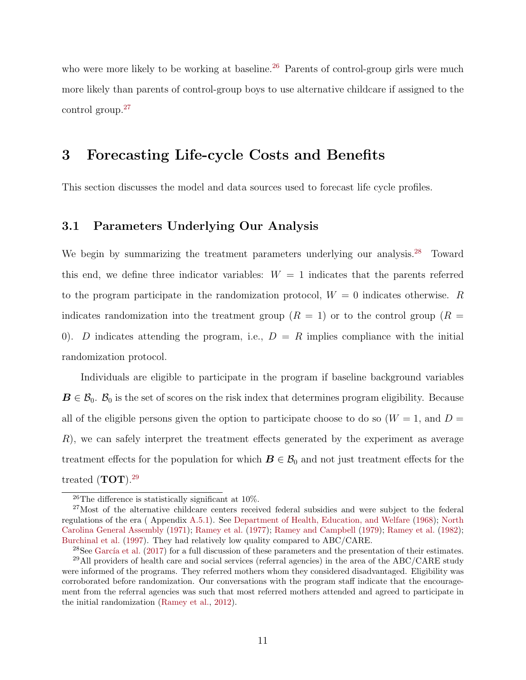who were more likely to be working at baseline.<sup>[26](#page-0-0)</sup> Parents of control-group girls were much more likely than parents of control-group boys to use alternative childcare if assigned to the control group.[27](#page-0-0)

## <span id="page-12-0"></span>3 Forecasting Life-cycle Costs and Benefits

<span id="page-12-1"></span>This section discusses the model and data sources used to forecast life cycle profiles.

### 3.1 Parameters Underlying Our Analysis

We begin by summarizing the treatment parameters underlying our analysis.<sup>[28](#page-0-0)</sup> Toward this end, we define three indicator variables:  $W = 1$  indicates that the parents referred to the program participate in the randomization protocol,  $W = 0$  indicates otherwise. R indicates randomization into the treatment group  $(R = 1)$  or to the control group  $(R = 1)$ 0). D indicates attending the program, i.e.,  $D = R$  implies compliance with the initial randomization protocol.

Individuals are eligible to participate in the program if baseline background variables  $B \in \mathcal{B}_0$ .  $\mathcal{B}_0$  is the set of scores on the risk index that determines program eligibility. Because all of the eligible persons given the option to participate choose to do so  $(W = 1$ , and  $D =$ R), we can safely interpret the treatment effects generated by the experiment as average treatment effects for the population for which  $B \in \mathcal{B}_0$  and not just treatment effects for the treated  $(TOT).^{29}$  $(TOT).^{29}$  $(TOT).^{29}$ 

 $26$ The difference is statistically significant at 10%.

<sup>&</sup>lt;sup>27</sup>Most of the alternative childcare centers received federal subsidies and were subject to the federal regulations of the era ( Appendix [A.5.1\)](#page-0-0). See [Department of Health, Education, and Welfare](#page-48-7) [\(1968\)](#page-48-7); [North](#page-50-6) [Carolina General Assembly](#page-50-6) [\(1971\)](#page-50-6); [Ramey et al.](#page-51-9) [\(1977\)](#page-51-9); [Ramey and Campbell](#page-50-7) [\(1979\)](#page-50-7); [Ramey et al.](#page-51-10) [\(1982\)](#page-51-10); [Burchinal et al.](#page-47-4) [\(1997\)](#page-47-4). They had relatively low quality compared to ABC/CARE.

<sup>&</sup>lt;sup>28</sup>See García et al. [\(2017\)](#page-48-2) for a full discussion of these parameters and the presentation of their estimates.

<sup>&</sup>lt;sup>29</sup>All providers of health care and social services (referral agencies) in the area of the ABC/CARE study were informed of the programs. They referred mothers whom they considered disadvantaged. Eligibility was corroborated before randomization. Our conversations with the program staff indicate that the encouragement from the referral agencies was such that most referred mothers attended and agreed to participate in the initial randomization [\(Ramey et al.,](#page-51-5) [2012\)](#page-51-5).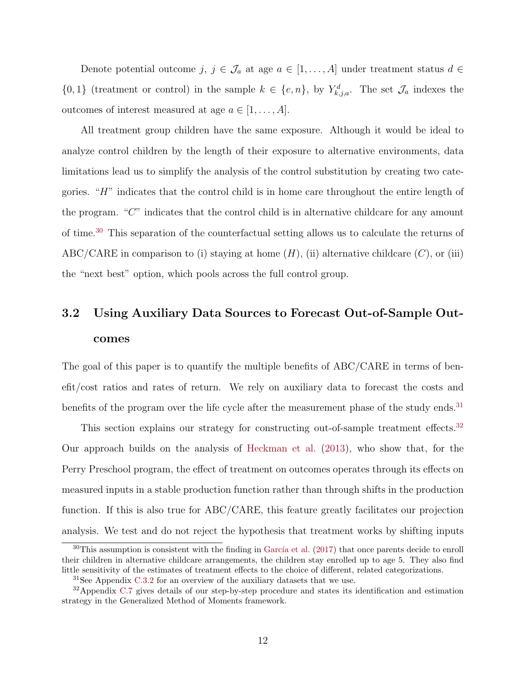Denote potential outcome  $j, j \in \mathcal{J}_a$  at age  $a \in [1, \ldots, A]$  under treatment status  $d \in$  $\{0,1\}$  (treatment or control) in the sample  $k \in \{e,n\}$ , by  $Y_{k,j,a}^d$ . The set  $\mathcal{J}_a$  indexes the outcomes of interest measured at age  $a \in [1, \ldots, A]$ .

All treatment group children have the same exposure. Although it would be ideal to analyze control children by the length of their exposure to alternative environments, data limitations lead us to simplify the analysis of the control substitution by creating two categories. "H" indicates that the control child is in home care throughout the entire length of the program. "C" indicates that the control child is in alternative childcare for any amount of time.[30](#page-0-0) This separation of the counterfactual setting allows us to calculate the returns of ABC/CARE in comparison to (i) staying at home  $(H)$ , (ii) alternative childcare  $(C)$ , or (iii) the "next best" option, which pools across the full control group.

## <span id="page-13-0"></span>3.2 Using Auxiliary Data Sources to Forecast Out-of-Sample Outcomes

The goal of this paper is to quantify the multiple benefits of ABC/CARE in terms of benefit/cost ratios and rates of return. We rely on auxiliary data to forecast the costs and benefits of the program over the life cycle after the measurement phase of the study ends.<sup>[31](#page-0-0)</sup>

This section explains our strategy for constructing out-of-sample treatment effects.<sup>[32](#page-0-0)</sup> Our approach builds on the analysis of [Heckman et al.](#page-49-4) [\(2013\)](#page-49-4), who show that, for the Perry Preschool program, the effect of treatment on outcomes operates through its effects on measured inputs in a stable production function rather than through shifts in the production function. If this is also true for ABC/CARE, this feature greatly facilitates our projection analysis. We test and do not reject the hypothesis that treatment works by shifting inputs

 $30$ This assumption is consistent with the finding in García et al. [\(2017\)](#page-48-2) that once parents decide to enroll their children in alternative childcare arrangements, the children stay enrolled up to age 5. They also find little sensitivity of the estimates of treatment effects to the choice of different, related categorizations.

<sup>31</sup>See Appendix [C.3.2](#page-0-0) for an overview of the auxiliary datasets that we use.

<sup>32</sup>Appendix [C.7](#page-0-0) gives details of our step-by-step procedure and states its identification and estimation strategy in the Generalized Method of Moments framework.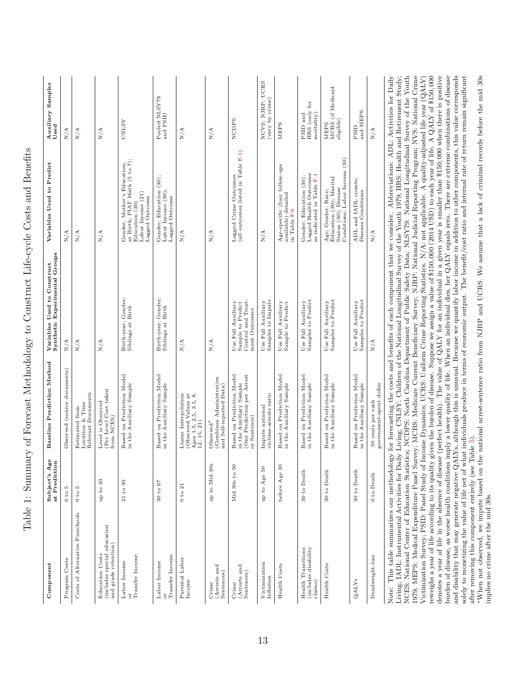<span id="page-14-0"></span>

| Component                                                                     | Subject's Age<br>at Prediction | Baseline Prediction Method                                                                          | Variables Used to Construct<br>Synthetic Experimental Groups                   | Variables Used to Predict                                                                                             | Auxiliary Samples<br>Used                        |
|-------------------------------------------------------------------------------|--------------------------------|-----------------------------------------------------------------------------------------------------|--------------------------------------------------------------------------------|-----------------------------------------------------------------------------------------------------------------------|--------------------------------------------------|
| Program Costs                                                                 | Ю<br>$0$ to                    | Observed (source documents)                                                                         | N/A                                                                            | N/A                                                                                                                   | N/A                                              |
| Costs of Alternative Preschools                                               | n<br>0 to                      | Relevant Documents<br>Location $\&$ Time<br>Estimated from                                          | N/A                                                                            | N/A                                                                                                                   | N/A                                              |
| (includes special education<br>and grade retention)<br><b>Education Costs</b> | up to $30$                     | (Per Level Cost taken<br>Level is Observed<br>from NCES)                                            | N/A                                                                            | N/A                                                                                                                   | N/A                                              |
| Transfer Income<br>Labor Income                                               | 21 to 30                       | Based on Prediction Model<br>in the Auxiliary Sample                                                | Birth-year; Gender;<br>Siblings at Birth                                       | at Birth; PIAT Math (5 to 7);<br>Education (30)<br>Gender; Mother's Education;<br>Labor Income (21)<br>Lagged Outcome | CNLSY                                            |
| Transfer Income<br>Labor Income<br>ð                                          | $30$ to $67$                   | Based on Prediction Model<br>in the Auxiliary Sample                                                | Birth-year; Gender;<br>Siblings at Birth                                       | Gender; Education (30);<br>Labor Income (30);<br>Lagged Outcome                                                       | Pooled NLSY79<br>and PSID                        |
| Parental Labor<br>Income                                                      | 21<br>$0$ to                   | (Observed Values at<br>Linear Interpolation<br>Ages 1.5, 2.5, 3.5, 8, 12, 15, 21)                   | $\rm N/A$                                                                      | N/A                                                                                                                   | N/A                                              |
| (Arrests and<br>Sentences)<br>Crime                                           | up to Mid 30s                  | Combines Administrative<br>and Self-reported Data)<br>Observed <sup>*</sup>                         | N/A                                                                            | N/A                                                                                                                   | N/A                                              |
| (Arrests and<br>Sentences)<br>Crime                                           | Mid 30s to 50                  | Based on Prediction Model<br>in the Auxiliary Sample<br>(One Prediction per Arrest)<br>or Sentence) | Control and Treat-<br>Use Full Auxiliary<br>Sample to Predict<br>ment Outcomes | (all outcomes listed in Table E.1)<br>Lagged Crime Outcomes                                                           | NCDPS                                            |
| Victimization<br>Inflation                                                    | $50\,$<br>up to Age            | victims-arrests ratio<br>Impute national                                                            | Samples to Impute<br>Use Full Auxiliary                                        | N/A                                                                                                                   | NCVS; NJRP; UCRS<br>(vary by crime)              |
| Health Costs                                                                  | before Age 30                  | Based on Prediction Model<br>in the Auxiliary Sample                                                | Use Full Auxiliary<br>Sample to Predict                                        | Age-specific (four follow-ups<br>available) detailed<br>in Table F.6                                                  | MEPS                                             |
| Health Transitions<br>(includes disability<br>claims)                         | 30 to Death                    | Based on Prediction Model<br>in the Auxiliary Sample                                                | Use Full Auxiliary<br>Samples to Predict                                       | Gender; Education (30);<br>Lagged Health Outcomes<br>as indicated in Table F.1                                        | for<br>HRS $(only$<br>PSID and<br>mortality)     |
| <b>Health Costs</b>                                                           | 30 to Death                    | Based on Prediction Model<br>in the Auxiliary Sample                                                | Use Full Auxiliary<br>Samples to Predict                                       | Conditions; Labor Income (30)<br>Education (30); Marital<br>Status (30); Disease<br>Age; Gender; Race;                | (if Medicaid<br>eligible)<br><b>MCBS</b><br>MEPS |
| QALY <sub>s</sub>                                                             | 30 to Death                    | Based on Prediction Model<br>in the Auxiliary Sample                                                | Use Full Auxiliary<br>Samples to Predict                                       | ADL and IADL counts;<br>Disease Conditions                                                                            | and MEPS<br>PSID                                 |
| Deadweight-loss                                                               | 0 to Death                     | government-spent dollar<br>50 cents per each                                                        | N/A                                                                            | N/A                                                                                                                   | N/A                                              |
| Į<br>$T$ kia $*$ akla<br>$N \sim t \sim$                                      | 400                            | $\ddot{\phantom{0}}$<br>for fo                                                                      | $+1$<br>اموم م<br>nd honofts                                                   | A bhuaristicus<br>ة<br>أحداث                                                                                          | A DLL A attached for Doll,                       |

Table 1: Summary of Forecast Methodology to Construct Life-cycle Costs and Benefits Table 1: Summary of Forecast Methodology to Construct Life-cycle Costs and Benefits

NCES: National Center of Education Statistics; NCDPS: North Carolina Department of Public Safety Data; NLSY79: National Longitudinal Survey of the Youth 1979; MEPS: Medical Expenditure Panel Survey; MCBS: Medicare Current Beneficiary Survey; NJRP: National Judicial Reporting Program; NVS: National Crime Victimization Survey; PSID: Panel Study of Income Dynamics; UCRS: Uniform Crime Reporting Statistics. N/A: not applicable. A quality-adjusted life year (QALY) reweighs a year of life according to its quality given the burden of disease. Suppose we assign a value of \$150,000 (2014 USD) to each year of life. A QALY of \$150,000 denotes a year of life in the absence of disease (perfect health). The value of QALY for an individual in a given year is smaller than \$150,000 when there is positive burden of disease, as worse health conditions imply a lower quality of life. When an individual dies, her QALY equals zero. There are extreme combinations of disease<br>and disability that may generate negative QALYs, althou solely to monetizing the value of life net of what individuals produce in terms of economic output. The benefit/cost ratio and internal rate of return remain significant Note: This table summarizes our methodology for forecasting the costs and benefits of each component that we consider. Abbreviations: ADL: Activities for Daily Note: This table summarizes our methodology for forecasting the costs and benefits of each component that we consider. Abbreviations: ADL: Activities for Daily<br>Living: IADL: Instrumental Activities for Daily Living: CNLSY: NCES: National Center of Education Statistics; NCDPS: North Carolina Department of Public Safety Data; NLSY79: National Longitudinal Survey of the Youth 1979; MEPS: Medical Expenditure Panel Survey; MCBS: Medicare Current Beneficiary Survey; NJRP: National Judicial Reporting Program; NVS: National Crime reweighs a year of life according to its quality given the burden of disease. Suppose we assign a value of \$150, 000 (2014 USD) to each year of life. A QALY of \$150, 000 denotes a year of life in the absence of disease (perfect health). The value of QALY for an individual in a given year is smaller than \$150, 000 when there is positive burden of disease, as worse health conditions imply a lower quality of life. When an individual dies, her QALY equals zero. There are extreme combinations of disease and disability that may generate negative QALYs, although this is unusual. Because we quantify labor income in addition to other components, this value corresponds solely to monetizing the value of life net of what individuals produce in terms of economic output. The benefit/cost ratio and internal rate of return remain significant Living; IADL: Instrumental Activities for Daily Living; CNLSY: Children of the National Longitudinal Survey of the Youth 1979; HRS: Health and Retirement Study; Victimization Survey; PSID: Panel Study of Income Dynamics; UCRS: Uniform Crime Reporting Statistics. N/A: not applicable. A quality-adjusted life year (QALY) after removing this component entirely (see Table 5). after removing this component entirely (see Table [5\)](#page-41-0).

\*When not observed, we impute based on the national arrest-sentence ratio from NJRP and UCRS. We assume that a lack of criminal records before the mid 30s ∗When not observed, we impute based on the national arrest-sentence ratio from NJRP and UCRS. We assume that a lack of criminal records before the mid 30s implies no crime after the mid 30s. implies no crime after the mid 30s.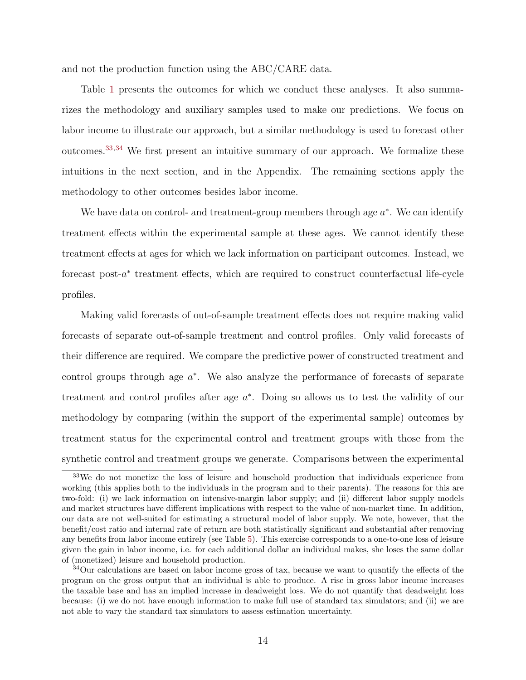and not the production function using the ABC/CARE data.

Table [1](#page-14-0) presents the outcomes for which we conduct these analyses. It also summarizes the methodology and auxiliary samples used to make our predictions. We focus on labor income to illustrate our approach, but a similar methodology is used to forecast other outcomes.[33](#page-0-0),[34](#page-0-0) We first present an intuitive summary of our approach. We formalize these intuitions in the next section, and in the Appendix. The remaining sections apply the methodology to other outcomes besides labor income.

We have data on control- and treatment-group members through age  $a^*$ . We can identify treatment effects within the experimental sample at these ages. We cannot identify these treatment effects at ages for which we lack information on participant outcomes. Instead, we forecast post-a<sup>\*</sup> treatment effects, which are required to construct counterfactual life-cycle profiles.

Making valid forecasts of out-of-sample treatment effects does not require making valid forecasts of separate out-of-sample treatment and control profiles. Only valid forecasts of their difference are required. We compare the predictive power of constructed treatment and control groups through age  $a^*$ . We also analyze the performance of forecasts of separate treatment and control profiles after age  $a^*$ . Doing so allows us to test the validity of our methodology by comparing (within the support of the experimental sample) outcomes by treatment status for the experimental control and treatment groups with those from the synthetic control and treatment groups we generate. Comparisons between the experimental

<sup>33</sup>We do not monetize the loss of leisure and household production that individuals experience from working (this applies both to the individuals in the program and to their parents). The reasons for this are two-fold: (i) we lack information on intensive-margin labor supply; and (ii) different labor supply models and market structures have different implications with respect to the value of non-market time. In addition, our data are not well-suited for estimating a structural model of labor supply. We note, however, that the benefit/cost ratio and internal rate of return are both statistically significant and substantial after removing any benefits from labor income entirely (see Table [5\)](#page-41-0). This exercise corresponds to a one-to-one loss of leisure given the gain in labor income, i.e. for each additional dollar an individual makes, she loses the same dollar of (monetized) leisure and household production.

<sup>34</sup>Our calculations are based on labor income gross of tax, because we want to quantify the effects of the program on the gross output that an individual is able to produce. A rise in gross labor income increases the taxable base and has an implied increase in deadweight loss. We do not quantify that deadweight loss because: (i) we do not have enough information to make full use of standard tax simulators; and (ii) we are not able to vary the standard tax simulators to assess estimation uncertainty.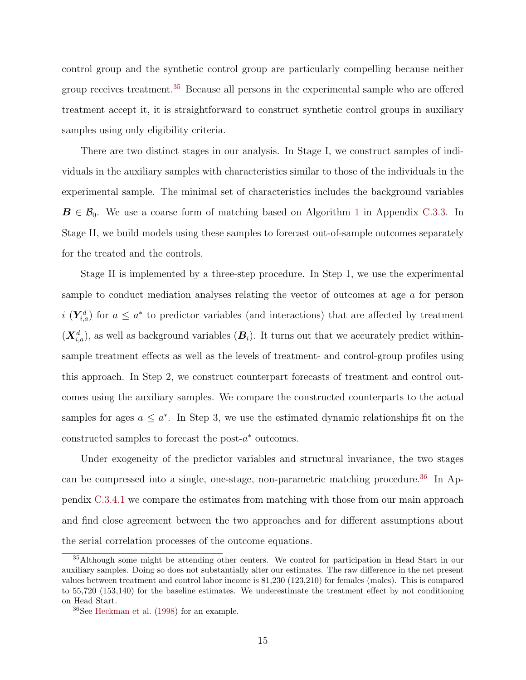control group and the synthetic control group are particularly compelling because neither group receives treatment.[35](#page-0-0) Because all persons in the experimental sample who are offered treatment accept it, it is straightforward to construct synthetic control groups in auxiliary samples using only eligibility criteria.

There are two distinct stages in our analysis. In Stage I, we construct samples of individuals in the auxiliary samples with characteristics similar to those of the individuals in the experimental sample. The minimal set of characteristics includes the background variables  $\mathbf{B} \in \mathcal{B}_0$ . We use a coarse form of matching based on Algorithm [1](#page-0-0) in Appendix [C.3.3.](#page-0-0) In Stage II, we build models using these samples to forecast out-of-sample outcomes separately for the treated and the controls.

Stage II is implemented by a three-step procedure. In Step 1, we use the experimental sample to conduct mediation analyses relating the vector of outcomes at age a for person  $i$  ( $Y_{i,a}^d$ ) for  $a \leq a^*$  to predictor variables (and interactions) that are affected by treatment  $(\mathbf{X}_{i,a}^d)$ , as well as background variables  $(\mathbf{B}_i)$ . It turns out that we accurately predict withinsample treatment effects as well as the levels of treatment- and control-group profiles using this approach. In Step 2, we construct counterpart forecasts of treatment and control outcomes using the auxiliary samples. We compare the constructed counterparts to the actual samples for ages  $a \leq a^*$ . In Step 3, we use the estimated dynamic relationships fit on the constructed samples to forecast the post- $a^*$  outcomes.

Under exogeneity of the predictor variables and structural invariance, the two stages can be compressed into a single, one-stage, non-parametric matching procedure.<sup>[36](#page-0-0)</sup> In Appendix [C.3.4.1](#page-0-0) we compare the estimates from matching with those from our main approach and find close agreement between the two approaches and for different assumptions about the serial correlation processes of the outcome equations.

<sup>35</sup>Although some might be attending other centers. We control for participation in Head Start in our auxiliary samples. Doing so does not substantially alter our estimates. The raw difference in the net present values between treatment and control labor income is 81,230 (123,210) for females (males). This is compared to 55,720 (153,140) for the baseline estimates. We underestimate the treatment effect by not conditioning on Head Start.

<sup>36</sup>See [Heckman et al.](#page-49-8) [\(1998\)](#page-49-8) for an example.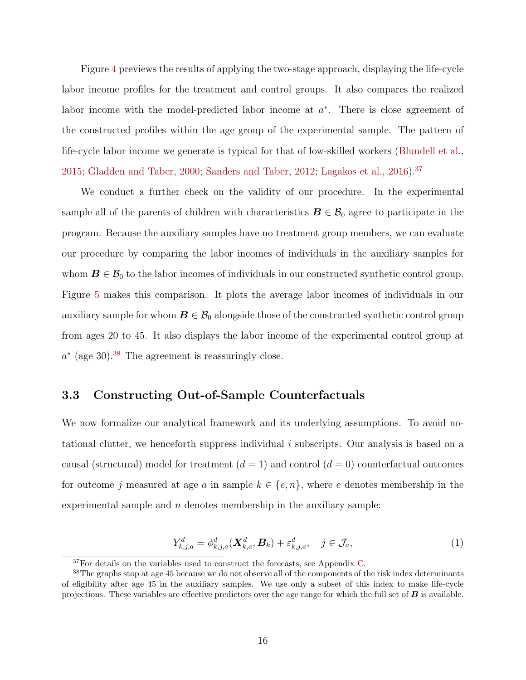Figure [4](#page-18-0) previews the results of applying the two-stage approach, displaying the life-cycle labor income profiles for the treatment and control groups. It also compares the realized labor income with the model-predicted labor income at  $a^*$ . There is close agreement of the constructed profiles within the age group of the experimental sample. The pattern of life-cycle labor income we generate is typical for that of low-skilled workers [\(Blundell et al.,](#page-47-5) [2015;](#page-47-5) [Gladden and Taber,](#page-48-8) [2000;](#page-48-8) [Sanders and Taber,](#page-51-11) [2012;](#page-51-11) [Lagakos et al.,](#page-50-8) [2016\)](#page-50-8).<sup>[37](#page-0-0)</sup>

We conduct a further check on the validity of our procedure. In the experimental sample all of the parents of children with characteristics  $\mathbf{B} \in \mathcal{B}_0$  agree to participate in the program. Because the auxiliary samples have no treatment group members, we can evaluate our procedure by comparing the labor incomes of individuals in the auxiliary samples for whom  $B \in \mathcal{B}_0$  to the labor incomes of individuals in our constructed synthetic control group. Figure [5](#page-19-0) makes this comparison. It plots the average labor incomes of individuals in our auxiliary sample for whom  $B \in \mathcal{B}_0$  alongside those of the constructed synthetic control group from ages 20 to 45. It also displays the labor income of the experimental control group at  $a^*$  (age 30).<sup>[38](#page-0-0)</sup> The agreement is reassuringly close.

#### <span id="page-17-1"></span>3.3 Constructing Out-of-Sample Counterfactuals

We now formalize our analytical framework and its underlying assumptions. To avoid notational clutter, we henceforth suppress individual  $i$  subscripts. Our analysis is based on a causal (structural) model for treatment  $(d = 1)$  and control  $(d = 0)$  counterfactual outcomes for outcome j measured at age a in sample  $k \in \{e, n\}$ , where e denotes membership in the experimental sample and  $n$  denotes membership in the auxiliary sample:

<span id="page-17-0"></span>
$$
Y_{k,j,a}^d = \phi_{k,j,a}^d(\mathbf{X}_{k,a}^d, \mathbf{B}_k) + \varepsilon_{k,j,a}^d, \quad j \in \mathcal{J}_a,\tag{1}
$$

<sup>&</sup>lt;sup>37</sup>For details on the variables used to construct the forecasts, see Appendix [C.](#page-0-0)

<sup>&</sup>lt;sup>38</sup>The graphs stop at age 45 because we do not observe all of the components of the risk index determinants of eligibility after age 45 in the auxiliary samples. We use only a subset of this index to make life-cycle projections. These variables are effective predictors over the age range for which the full set of  $\bm{B}$  is available.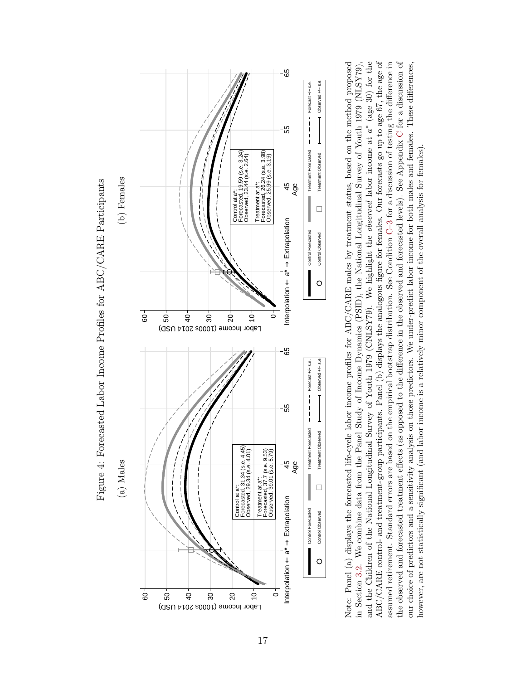<span id="page-18-0"></span>

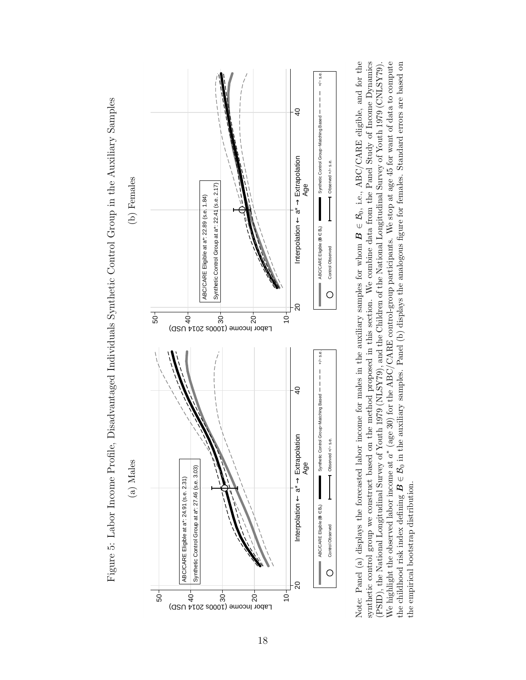



<span id="page-19-0"></span>Figure 5: Labor Income Profile, Disadvantaged Individuals Synthetic Control Group in the Auxiliary Samples Figure 5: Labor Income Profile, Disadvantaged Individuals Synthetic Control Group in the Auxiliary Samples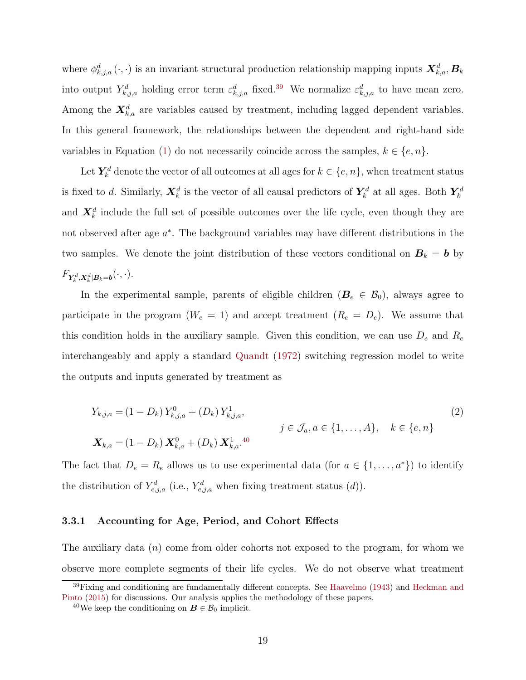where  $\phi_{k,j,a}^d(\cdot,\cdot)$  is an invariant structural production relationship mapping inputs  $X_{k,a}^d$ ,  $B_k$ into output  $Y_{k,j,a}^d$  holding error term  $\varepsilon_{k,j,a}^d$  fixed.<sup>[39](#page-0-0)</sup> We normalize  $\varepsilon_{k,j,a}^d$  to have mean zero. Among the  $\mathbf{X}_{k,a}^d$  are variables caused by treatment, including lagged dependent variables. In this general framework, the relationships between the dependent and right-hand side variables in Equation [\(1\)](#page-17-0) do not necessarily coincide across the samples,  $k \in \{e, n\}$ .

Let  $\boldsymbol{Y}^d_k$  denote the vector of all outcomes at all ages for  $k \in \{e, n\}$ , when treatment status is fixed to d. Similarly,  $\mathbf{X}_k^d$  is the vector of all causal predictors of  $\mathbf{Y}_k^d$  at all ages. Both  $\mathbf{Y}_k^d$ and  $X_k^d$  include the full set of possible outcomes over the life cycle, even though they are not observed after age  $a^*$ . The background variables may have different distributions in the two samples. We denote the joint distribution of these vectors conditional on  $B_k = b$  by  $F_{\boldsymbol{Y}^d_k,\boldsymbol{X}^d_k|\boldsymbol{B}_k=\boldsymbol{b}}(\cdot,\cdot).$ 

In the experimental sample, parents of eligible children  $(B_e \in \mathcal{B}_0)$ , always agree to participate in the program  $(W_e = 1)$  and accept treatment  $(R_e = D_e)$ . We assume that this condition holds in the auxiliary sample. Given this condition, we can use  $D_e$  and  $R_e$ interchangeably and apply a standard [Quandt](#page-50-9) [\(1972\)](#page-50-9) switching regression model to write the outputs and inputs generated by treatment as

<span id="page-20-0"></span>
$$
Y_{k,j,a} = (1 - D_k) Y_{k,j,a}^0 + (D_k) Y_{k,j,a}^1,
$$
  
\n
$$
j \in \mathcal{J}_a, a \in \{1, ..., A\}, \quad k \in \{e, n\}
$$
  
\n
$$
\mathbf{X}_{k,a} = (1 - D_k) \mathbf{X}_{k,a}^0 + (D_k) \mathbf{X}_{k,a}^1.
$$
  
\n(2)

The fact that  $D_e = R_e$  allows us to use experimental data (for  $a \in \{1, ..., a^*\}$ ) to identify the distribution of  $Y_{e,j,a}^d$  (i.e.,  $Y_{e,j,a}^d$  when fixing treatment status (d)).

#### 3.3.1 Accounting for Age, Period, and Cohort Effects

The auxiliary data  $(n)$  come from older cohorts not exposed to the program, for whom we observe more complete segments of their life cycles. We do not observe what treatment

 $39$ Fixing and conditioning are fundamentally different concepts. See [Haavelmo](#page-49-9) [\(1943\)](#page-49-9) and [Heckman and](#page-49-10) [Pinto](#page-49-10) [\(2015\)](#page-49-10) for discussions. Our analysis applies the methodology of these papers.

<sup>&</sup>lt;sup>40</sup>We keep the conditioning on  $\mathbf{B} \in \mathcal{B}_0$  implicit.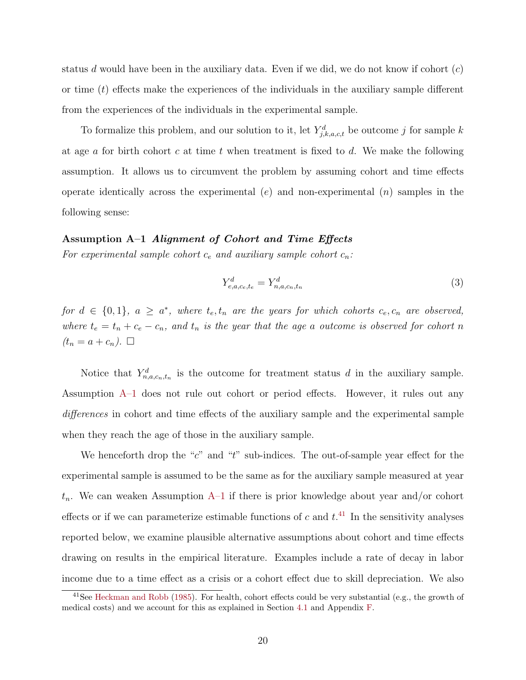status d would have been in the auxiliary data. Even if we did, we do not know if cohort  $(c)$ or time  $(t)$  effects make the experiences of the individuals in the auxiliary sample different from the experiences of the individuals in the experimental sample.

To formalize this problem, and our solution to it, let  $Y_{j,k,a,c,t}^d$  be outcome j for sample k at age a for birth cohort c at time t when treatment is fixed to d. We make the following assumption. It allows us to circumvent the problem by assuming cohort and time effects operate identically across the experimental (e) and non-experimental  $(n)$  samples in the following sense:

#### <span id="page-21-0"></span>Assumption A–1 Alignment of Cohort and Time Effects

For experimental sample cohort  $c_e$  and auxiliary sample cohort  $c_n$ :

$$
Y_{e,a,c_e,t_e}^d = Y_{n,a,c_n,t_n}^d \tag{3}
$$

for  $d \in \{0,1\}$ ,  $a \ge a^*$ , where  $t_e, t_n$  are the years for which cohorts  $c_e, c_n$  are observed, where  $t_e = t_n + c_e - c_n$ , and  $t_n$  is the year that the age a outcome is observed for cohort n  $(t_n = a + c_n). \ \Box$ 

Notice that  $Y_{n,a,c_n,t_n}^d$  is the outcome for treatment status d in the auxiliary sample. Assumption [A–1](#page-21-0) does not rule out cohort or period effects. However, it rules out any differences in cohort and time effects of the auxiliary sample and the experimental sample when they reach the age of those in the auxiliary sample.

We henceforth drop the " $c$ " and " $t$ " sub-indices. The out-of-sample year effect for the experimental sample is assumed to be the same as for the auxiliary sample measured at year  $t_n$ . We can weaken Assumption [A–1](#page-21-0) if there is prior knowledge about year and/or cohort effects or if we can parameterize estimable functions of  $c$  and  $t$ .<sup>[41](#page-0-0)</sup> In the sensitivity analyses reported below, we examine plausible alternative assumptions about cohort and time effects drawing on results in the empirical literature. Examples include a rate of decay in labor income due to a time effect as a crisis or a cohort effect due to skill depreciation. We also

<sup>&</sup>lt;sup>41</sup>See [Heckman and Robb](#page-50-10) [\(1985\)](#page-50-10). For health, cohort effects could be very substantial (e.g., the growth of medical costs) and we account for this as explained in Section [4.1](#page-29-1) and Appendix [F.](#page-0-0)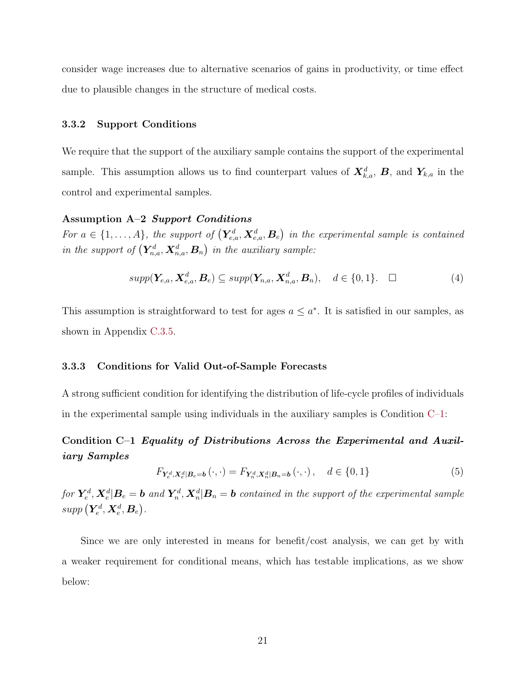consider wage increases due to alternative scenarios of gains in productivity, or time effect due to plausible changes in the structure of medical costs.

#### 3.3.2 Support Conditions

We require that the support of the auxiliary sample contains the support of the experimental sample. This assumption allows us to find counterpart values of  $\mathbf{X}_{k,a}^d$ ,  $\mathbf{B}$ , and  $\mathbf{Y}_{k,a}$  in the control and experimental samples.

#### Assumption  $A-2$  *Support Conditions*

For  $a \in \{1, \ldots, A\}$ , the support of  $(\mathbf{Y}_{e,a}^d, \mathbf{X}_{e,a}^d, \mathbf{B}_e)$  in the experimental sample is contained in the support of  $(Y_{n,a}^d, X_{n,a}^d, B_n)$  in the auxiliary sample:

$$
supp(\mathbf{Y}_{e,a}, \mathbf{X}_{e,a}^d, \mathbf{B}_e) \subseteq supp(\mathbf{Y}_{n,a}, \mathbf{X}_{n,a}^d, \mathbf{B}_n), \quad d \in \{0, 1\}. \quad \Box
$$
 (4)

This assumption is straightforward to test for ages  $a \leq a^*$ . It is satisfied in our samples, as shown in Appendix [C.3.5.](#page-0-0)

#### 3.3.3 Conditions for Valid Out-of-Sample Forecasts

A strong sufficient condition for identifying the distribution of life-cycle profiles of individuals in the experimental sample using individuals in the auxiliary samples is Condition [C–1:](#page-22-0)

### <span id="page-22-0"></span>Condition C–1 Equality of Distributions Across the Experimental and Auxiliary Samples

$$
F_{\mathbf{Y}_e^d, \mathbf{X}_e^d | \mathbf{B}_e = \mathbf{b}}(\cdot, \cdot) = F_{\mathbf{Y}_n^d, \mathbf{X}_n^d | \mathbf{B}_n = \mathbf{b}}(\cdot, \cdot), \quad d \in \{0, 1\}
$$
\n
$$
\tag{5}
$$

for  $\bm{Y}_e^d, \bm{X}_e^d | \bm{B}_e = \bm{b}$  and  $\bm{Y}_n^d, \bm{X}_n^d | \bm{B}_n = \bm{b}$  contained in the support of the experimental sample  $supp\left(\boldsymbol{Y}_{e}^{d},\boldsymbol{X}_{e}^{d},\boldsymbol{B}_{e}\right)$  .

<span id="page-22-1"></span>Since we are only interested in means for benefit/cost analysis, we can get by with a weaker requirement for conditional means, which has testable implications, as we show below: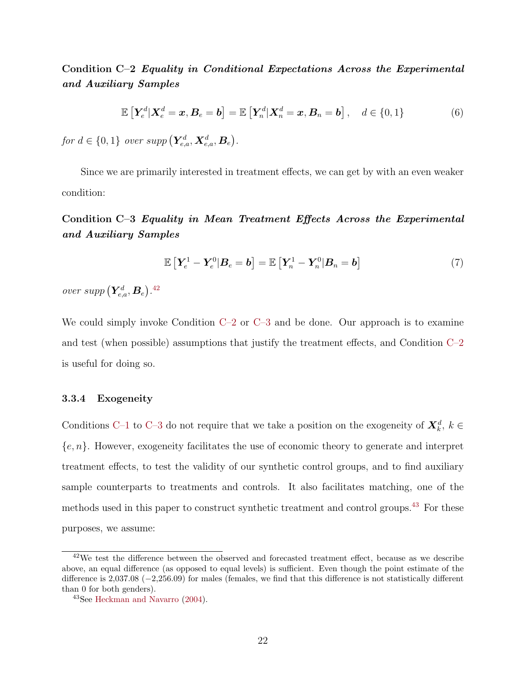Condition C–2 Equality in Conditional Expectations Across the Experimental and Auxiliary Samples

$$
\mathbb{E}\left[\boldsymbol{Y}_e^d|\boldsymbol{X}_e^d=\boldsymbol{x},\boldsymbol{B}_e=\boldsymbol{b}\right]=\mathbb{E}\left[\boldsymbol{Y}_n^d|\boldsymbol{X}_n^d=\boldsymbol{x},\boldsymbol{B}_n=\boldsymbol{b}\right],\quad d\in\{0,1\}
$$
(6)

for  $d \in \{0, 1\}$  over supp  $(Y_{e,a}^d, X_{e,a}^d, B_e)$ .

Since we are primarily interested in treatment effects, we can get by with an even weaker condition:

<span id="page-23-0"></span>Condition C–3 Equality in Mean Treatment Effects Across the Experimental and Auxiliary Samples

$$
\mathbb{E}\left[\boldsymbol{Y}_e^1 - \boldsymbol{Y}_e^0|\boldsymbol{B}_e = \boldsymbol{b}\right] = \mathbb{E}\left[\boldsymbol{Y}_n^1 - \boldsymbol{Y}_n^0|\boldsymbol{B}_n = \boldsymbol{b}\right]
$$
\n(7)

over  $supp \left(\boldsymbol{Y}_{e,a}^{d}, \boldsymbol{B}_{e}\right)$ .<sup>[42](#page-0-0)</sup>

We could simply invoke Condition [C–2](#page-22-1) or [C–3](#page-23-0) and be done. Our approach is to examine and test (when possible) assumptions that justify the treatment effects, and Condition [C–2](#page-22-1) is useful for doing so.

#### 3.3.4 Exogeneity

Conditions [C–1](#page-22-0) to [C–3](#page-23-0) do not require that we take a position on the exogeneity of  $\mathbf{X}_{k}^{d}$ ,  $k \in$  $\{e, n\}$ . However, exogeneity facilitates the use of economic theory to generate and interpret treatment effects, to test the validity of our synthetic control groups, and to find auxiliary sample counterparts to treatments and controls. It also facilitates matching, one of the methods used in this paper to construct synthetic treatment and control groups.<sup>[43](#page-0-0)</sup> For these purposes, we assume:

<span id="page-23-1"></span> $42\text{We test the difference between the observed and forecasted treatment effect, because as we describe}$ above, an equal difference (as opposed to equal levels) is sufficient. Even though the point estimate of the difference is 2,037.08 (−2,256.09) for males (females, we find that this difference is not statistically different than 0 for both genders).

<sup>43</sup>See [Heckman and Navarro](#page-49-11) [\(2004\)](#page-49-11).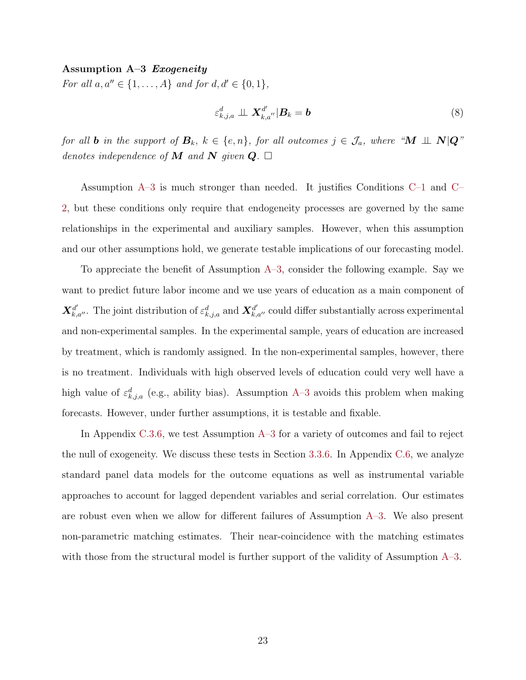#### Assumption A–3 Exogeneity

For all  $a, a'' \in \{1, ..., A\}$  and for  $d, d' \in \{0, 1\},$ 

$$
\varepsilon_{k,j,a}^d \perp \!\!\! \perp X_{k,a''}^{d'} | B_k = \boldsymbol{b} \tag{8}
$$

for all **b** in the support of  $B_k$ ,  $k \in \{e, n\}$ , for all outcomes  $j \in \mathcal{J}_a$ , where " $\mathbf{M} \perp \mathbf{N} | \mathbf{Q}$ " denotes independence of **M** and **N** given **Q**.  $\Box$ 

Assumption [A–3](#page-23-1) is much stronger than needed. It justifies Conditions [C–1](#page-22-0) and [C–](#page-22-1) [2,](#page-22-1) but these conditions only require that endogeneity processes are governed by the same relationships in the experimental and auxiliary samples. However, when this assumption and our other assumptions hold, we generate testable implications of our forecasting model.

To appreciate the benefit of Assumption [A–3,](#page-23-1) consider the following example. Say we want to predict future labor income and we use years of education as a main component of  $X_{k,a''}^{d'}$ . The joint distribution of  $\varepsilon_{k,j,a}^d$  and  $X_{k,a''}^{d'}$  could differ substantially across experimental and non-experimental samples. In the experimental sample, years of education are increased by treatment, which is randomly assigned. In the non-experimental samples, however, there is no treatment. Individuals with high observed levels of education could very well have a high value of  $\varepsilon_{k,j,a}^d$  (e.g., ability bias). Assumption A-3 avoids this problem when making forecasts. However, under further assumptions, it is testable and fixable.

In Appendix [C.3.6,](#page-0-0) we test Assumption [A–3](#page-23-1) for a variety of outcomes and fail to reject the null of exogeneity. We discuss these tests in Section [3.3.6.](#page-25-0) In Appendix [C.6,](#page-0-0) we analyze standard panel data models for the outcome equations as well as instrumental variable approaches to account for lagged dependent variables and serial correlation. Our estimates are robust even when we allow for different failures of Assumption [A–3.](#page-23-1) We also present non-parametric matching estimates. Their near-coincidence with the matching estimates with those from the structural model is further support of the validity of Assumption [A–3.](#page-23-1)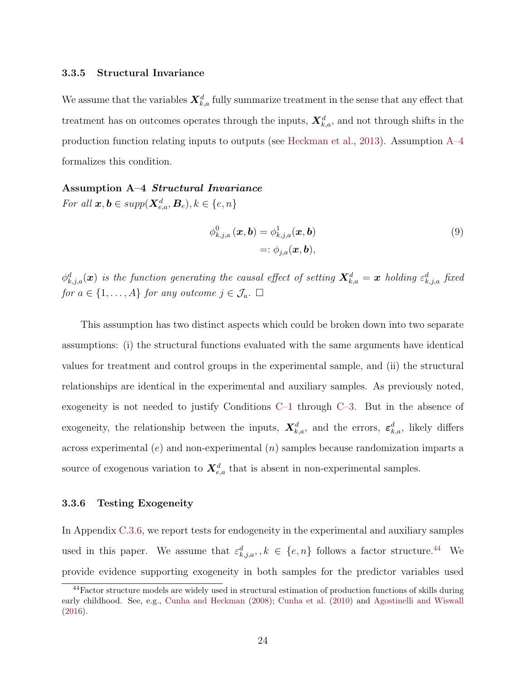#### 3.3.5 Structural Invariance

We assume that the variables  $\mathbf{X}_{k,a}^{d}$  fully summarize treatment in the sense that any effect that treatment has on outcomes operates through the inputs,  $\mathbf{X}_{k,a}^d$ , and not through shifts in the production function relating inputs to outputs (see [Heckman et al.,](#page-49-4) [2013\)](#page-49-4). Assumption [A–4](#page-25-1) formalizes this condition.

#### <span id="page-25-1"></span>Assumption A–4 Structural Invariance

For all  $\boldsymbol{x}, \boldsymbol{b} \in \text{supp}(\boldsymbol{X}_{e,a}^d, \boldsymbol{B}_e), k \in \{e, n\}$ 

$$
\phi_{k,j,a}^0(\boldsymbol{x},\boldsymbol{b}) = \phi_{k,j,a}^1(\boldsymbol{x},\boldsymbol{b})
$$
  
=:  $\phi_{j,a}(\boldsymbol{x},\boldsymbol{b}),$  (9)

 $\phi^d_{k,j,a}(\bm{x})$  is the function generating the causal effect of setting  $\bm{X}_{k,a}^d=\bm{x}$  holding  $\varepsilon_{k,j,a}^d$  fixed for  $a \in \{1, ..., A\}$  for any outcome  $j \in \mathcal{J}_a$ .  $\Box$ 

This assumption has two distinct aspects which could be broken down into two separate assumptions: (i) the structural functions evaluated with the same arguments have identical values for treatment and control groups in the experimental sample, and (ii) the structural relationships are identical in the experimental and auxiliary samples. As previously noted, exogeneity is not needed to justify Conditions [C–1](#page-22-0) through [C–3.](#page-23-0) But in the absence of exogeneity, the relationship between the inputs,  $\mathbf{X}_{k,a}^d$ , and the errors,  $\boldsymbol{\varepsilon}_{k,a}^d$ , likely differs across experimental (e) and non-experimental  $(n)$  samples because randomization imparts a source of exogenous variation to  $\mathbf{X}_{e,a}^d$  that is absent in non-experimental samples.

#### <span id="page-25-0"></span>3.3.6 Testing Exogeneity

In Appendix [C.3.6,](#page-0-0) we report tests for endogeneity in the experimental and auxiliary samples used in this paper. We assume that  $\varepsilon_{k,j,a}^d, k \in \{e,n\}$  follows a factor structure.<sup>[44](#page-0-0)</sup> We provide evidence supporting exogeneity in both samples for the predictor variables used

<sup>&</sup>lt;sup>44</sup>Factor structure models are widely used in structural estimation of production functions of skills during early childhood. See, e.g., [Cunha and Heckman](#page-48-9) [\(2008\)](#page-48-9); [Cunha et al.](#page-48-10) [\(2010\)](#page-48-10) and [Agostinelli and Wiswall](#page-47-6) [\(2016\)](#page-47-6).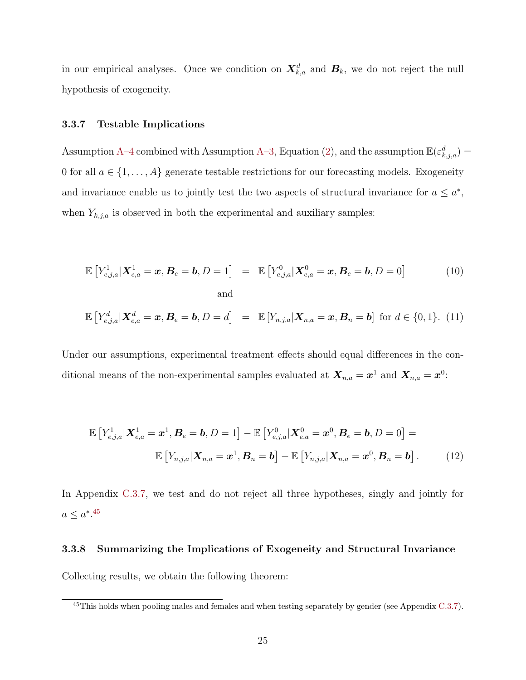in our empirical analyses. Once we condition on  $\mathbf{X}_{k,a}^d$  and  $\mathbf{B}_k$ , we do not reject the null hypothesis of exogeneity.

#### 3.3.7 Testable Implications

Assumption A-4 combined with Assumption A-3, Equation [\(2\)](#page-20-0), and the assumption  $\mathbb{E}(\varepsilon_{k,j,a}^d)$  = 0 for all  $a \in \{1, \ldots, A\}$  generate testable restrictions for our forecasting models. Exogeneity and invariance enable us to jointly test the two aspects of structural invariance for  $a \leq a^*$ , when  $Y_{k,j,a}$  is observed in both the experimental and auxiliary samples:

$$
\mathbb{E}\left[Y_{e,j,a}^1|\boldsymbol{X}_{e,a}^1=\boldsymbol{x},\boldsymbol{B}_e=\boldsymbol{b},D=1\right] = \mathbb{E}\left[Y_{e,j,a}^0|\boldsymbol{X}_{e,a}^0=\boldsymbol{x},\boldsymbol{B}_e=\boldsymbol{b},D=0\right]
$$
(10)  
and

$$
\mathbb{E}\left[Y_{e,j,a}^d|\boldsymbol{X}_{e,a}^d=\boldsymbol{x},\boldsymbol{B}_e=\boldsymbol{b},D=d\right] = \mathbb{E}\left[Y_{n,j,a}|\boldsymbol{X}_{n,a}=\boldsymbol{x},\boldsymbol{B}_n=\boldsymbol{b}\right] \text{ for } d\in\{0,1\}. (11)
$$

Under our assumptions, experimental treatment effects should equal differences in the conditional means of the non-experimental samples evaluated at  $X_{n,a} = x^1$  and  $X_{n,a} = x^0$ :

$$
\mathbb{E}\left[Y_{e,j,a}^1|\boldsymbol{X}_{e,a}^1=\boldsymbol{x}^1,\boldsymbol{B}_e=\boldsymbol{b},D=1\right]-\mathbb{E}\left[Y_{e,j,a}^0|\boldsymbol{X}_{e,a}^0=\boldsymbol{x}^0,\boldsymbol{B}_e=\boldsymbol{b},D=0\right]=
$$
\n
$$
\mathbb{E}\left[Y_{n,j,a}|\boldsymbol{X}_{n,a}=\boldsymbol{x}^1,\boldsymbol{B}_n=\boldsymbol{b}\right]-\mathbb{E}\left[Y_{n,j,a}|\boldsymbol{X}_{n,a}=\boldsymbol{x}^0,\boldsymbol{B}_n=\boldsymbol{b}\right].
$$
\n(12)

In Appendix [C.3.7,](#page-0-0) we test and do not reject all three hypotheses, singly and jointly for  $a \leq a^{*}.^{45}$  $a \leq a^{*}.^{45}$  $a \leq a^{*}.^{45}$ 

#### 3.3.8 Summarizing the Implications of Exogeneity and Structural Invariance

Collecting results, we obtain the following theorem:

<sup>&</sup>lt;sup>45</sup>This holds when pooling males and females and when testing separately by gender (see Appendix [C.3.7\)](#page-0-0).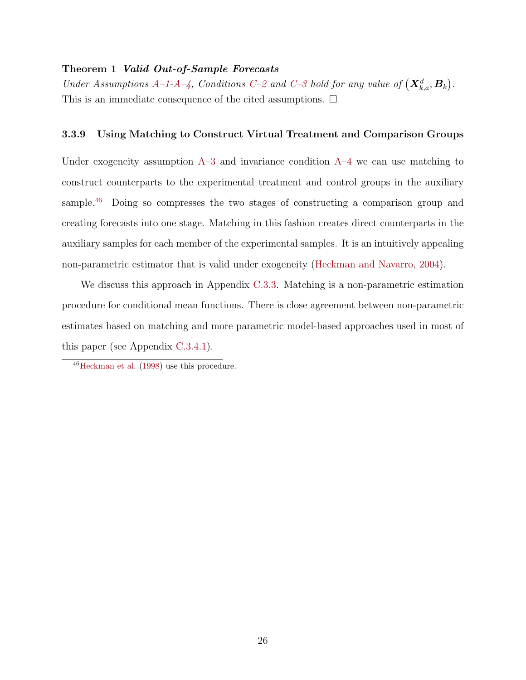#### Theorem 1 Valid Out-of-Sample Forecasts

Under Assumptions A-1-A-4, Conditions C-2 and C-3 hold for any value of  $(X_{k,a}^d, B_k)$ . This is an immediate consequence of the cited assumptions.  $\Box$ 

#### <span id="page-27-0"></span>3.3.9 Using Matching to Construct Virtual Treatment and Comparison Groups

Under exogeneity assumption  $A-3$  and invariance condition  $A-4$  we can use matching to construct counterparts to the experimental treatment and control groups in the auxiliary sample.<sup>[46](#page-0-0)</sup> Doing so compresses the two stages of constructing a comparison group and creating forecasts into one stage. Matching in this fashion creates direct counterparts in the auxiliary samples for each member of the experimental samples. It is an intuitively appealing non-parametric estimator that is valid under exogeneity [\(Heckman and Navarro,](#page-49-11) [2004\)](#page-49-11).

We discuss this approach in Appendix [C.3.3.](#page-0-0) Matching is a non-parametric estimation procedure for conditional mean functions. There is close agreement between non-parametric estimates based on matching and more parametric model-based approaches used in most of this paper (see Appendix [C.3.4.1\)](#page-0-0).

<sup>46</sup>[Heckman et al.](#page-49-8) [\(1998\)](#page-49-8) use this procedure.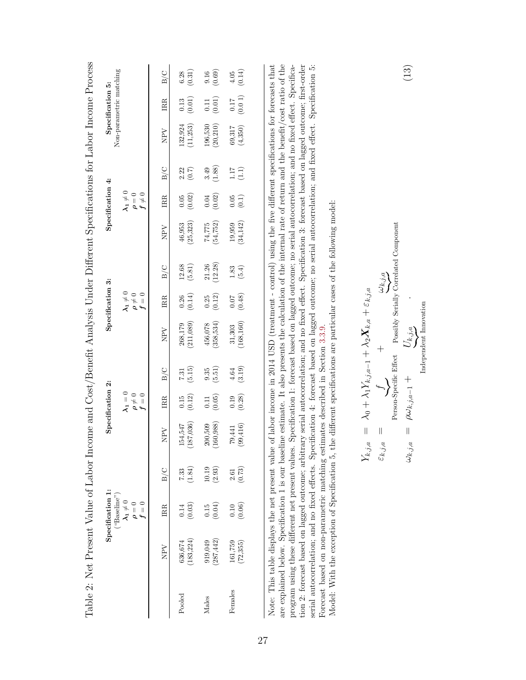<span id="page-28-0"></span>

| Specification 1: forecast based on lagged outcome; no serial autocorrelation; and no fixed effect. Specifica-<br>Non-parametric matching<br>(0.31)<br>(0.69)<br>(0.14)<br>B/C<br>0.16<br>6.28<br>$4.05$<br>Specification 5:<br>(0.0 1)<br>(0.01)<br>$(0.01)$<br><b>IRR</b><br>0.13<br>0.17<br>0.11<br>(20, 210)<br>132,924<br>(11, 253)<br>196,530<br>(4,350)<br>69,317<br>NPV<br>(1.88)<br>B/C<br>3.49<br>$2.22$<br>(0.7)<br>1.17<br>(1.1)<br>Specification 4:<br>$\lambda_1 \neq 0$<br>$f\neq 0$<br>$\rho=0$<br>(0.02)<br>$(0.02)$<br>$_{\rm RR}$<br>$0.05$<br>0.04<br>0.05<br>(0.1)<br>(54, 752)<br>(34, 142)<br>(25, 323)<br>74,775<br>19,959<br>46,953<br>NPV<br>(12.28)<br>12.68<br>(5.81)<br>21.26<br>B/C<br>1.83<br>(5.4)<br>Specification 3:<br>$\boldsymbol{\lambda_1} \neq 0$<br>$\boldsymbol{\rho} \neq \boldsymbol{0}$<br>$\boldsymbol{f}=0$<br>(0.14)<br>(0.48)<br>(0.12)<br><b>IRR</b><br>0.26<br>0.25<br>0.07<br>(168, 160)<br>(211,089)<br>(358, 534)<br>268,179<br>456,078<br>31,303<br>NPV<br>(5.15)<br>(5.51)<br>(3.19)<br>B/C<br>4.64<br>9.35<br>Specification 2:<br>$\pmb{\lambda}_1=0$<br>$\rho\neq 0$ $f=0$<br>(0.12)<br>(0.28)<br>(0.05)<br>0.15<br>$_{\rm IRR}$<br>0.19<br>0.11<br>87,036)<br>(160, 988)<br>(99, 416)<br>200,509<br>154,547<br>79,441<br>NPV<br>$7.33$<br>(1.84)<br>(2.93)<br>(0.73)<br>10.19<br>B/C<br>$2.61\,$<br>Specification 1:<br>("Baseline")<br>$\pmb{\lambda}_1\neq 0$<br>$\boldsymbol{f}=0$<br>$\rho=0$<br>(0.03)<br>(0.04)<br>(0.06)<br>0.14<br>0.15<br>0.10<br><b>IRR</b><br>(183, 224)<br>(287, 442)<br>(72, 355)<br>919,049<br>161,759<br>636,674<br>NPV | are explained below. Specification 1 is our baseline estimate. It also presents the calculation of the internal rate of return and the benefit/cost ratio of the<br>Note: This table displays the net present value of labor income in 2014 USD (treatment - control) using the five different specifications for forecasts that<br>tion 2: forecast based on lagged outcome; arbitrary serial autocorrelation; and no fixed effect. Specification 3: forecast based on lagged outcome; first-order<br>(13)<br>serial autocorrelation; and no fixed effects. Specification 4: forecast based on lagged outcome; no serial autocorrelation; and fixed effect. Specification 5:<br>Model: With the exception of Specification 5, the different specifications are particular cases of the following model:<br>Possibly Serially Correlated Component<br>$\frac{\omega_{k,j,a}}{a}$<br>$\lambda_0 + \lambda_1 Y_{k,j,a-1} + \lambda_2 \mathbf{X}_{k,a} + \varepsilon_{k,j,a}$<br>Independent Innovation<br>Forecast based on non-parametric matching estimates described in Section 3.3.9.<br>$U_{k,j,a}$<br>$^{+}$<br>Person-Specific Effect<br>$\rho\omega_{k,j,a-1} +$<br>$\overline{\mathbf{u}}$<br>$\vert\vert$<br>$\left  {}\right $<br>$Y_{k,j,a}$<br>$\varepsilon_{k,j,a}$<br>$\omega_{k,j,a}$<br>program using these different net present values. |  |  |  |  |  |  |  |  |
|------------------------------------------------------------------------------------------------------------------------------------------------------------------------------------------------------------------------------------------------------------------------------------------------------------------------------------------------------------------------------------------------------------------------------------------------------------------------------------------------------------------------------------------------------------------------------------------------------------------------------------------------------------------------------------------------------------------------------------------------------------------------------------------------------------------------------------------------------------------------------------------------------------------------------------------------------------------------------------------------------------------------------------------------------------------------------------------------------------------------------------------------------------------------------------------------------------------------------------------------------------------------------------------------------------------------------------------------------------------------------------------------------------------------------------------------------------------------------------------------------------------------------------------------------------------------------------------------------------------|----------------------------------------------------------------------------------------------------------------------------------------------------------------------------------------------------------------------------------------------------------------------------------------------------------------------------------------------------------------------------------------------------------------------------------------------------------------------------------------------------------------------------------------------------------------------------------------------------------------------------------------------------------------------------------------------------------------------------------------------------------------------------------------------------------------------------------------------------------------------------------------------------------------------------------------------------------------------------------------------------------------------------------------------------------------------------------------------------------------------------------------------------------------------------------------------------------------------------------------------------------------------------------------------------------------------------------------------------------|--|--|--|--|--|--|--|--|
|                                                                                                                                                                                                                                                                                                                                                                                                                                                                                                                                                                                                                                                                                                                                                                                                                                                                                                                                                                                                                                                                                                                                                                                                                                                                                                                                                                                                                                                                                                                                                                                                                  |                                                                                                                                                                                                                                                                                                                                                                                                                                                                                                                                                                                                                                                                                                                                                                                                                                                                                                                                                                                                                                                                                                                                                                                                                                                                                                                                                          |  |  |  |  |  |  |  |  |
|                                                                                                                                                                                                                                                                                                                                                                                                                                                                                                                                                                                                                                                                                                                                                                                                                                                                                                                                                                                                                                                                                                                                                                                                                                                                                                                                                                                                                                                                                                                                                                                                                  |                                                                                                                                                                                                                                                                                                                                                                                                                                                                                                                                                                                                                                                                                                                                                                                                                                                                                                                                                                                                                                                                                                                                                                                                                                                                                                                                                          |  |  |  |  |  |  |  |  |
|                                                                                                                                                                                                                                                                                                                                                                                                                                                                                                                                                                                                                                                                                                                                                                                                                                                                                                                                                                                                                                                                                                                                                                                                                                                                                                                                                                                                                                                                                                                                                                                                                  |                                                                                                                                                                                                                                                                                                                                                                                                                                                                                                                                                                                                                                                                                                                                                                                                                                                                                                                                                                                                                                                                                                                                                                                                                                                                                                                                                          |  |  |  |  |  |  |  |  |
|                                                                                                                                                                                                                                                                                                                                                                                                                                                                                                                                                                                                                                                                                                                                                                                                                                                                                                                                                                                                                                                                                                                                                                                                                                                                                                                                                                                                                                                                                                                                                                                                                  |                                                                                                                                                                                                                                                                                                                                                                                                                                                                                                                                                                                                                                                                                                                                                                                                                                                                                                                                                                                                                                                                                                                                                                                                                                                                                                                                                          |  |  |  |  |  |  |  |  |
|                                                                                                                                                                                                                                                                                                                                                                                                                                                                                                                                                                                                                                                                                                                                                                                                                                                                                                                                                                                                                                                                                                                                                                                                                                                                                                                                                                                                                                                                                                                                                                                                                  |                                                                                                                                                                                                                                                                                                                                                                                                                                                                                                                                                                                                                                                                                                                                                                                                                                                                                                                                                                                                                                                                                                                                                                                                                                                                                                                                                          |  |  |  |  |  |  |  |  |
|                                                                                                                                                                                                                                                                                                                                                                                                                                                                                                                                                                                                                                                                                                                                                                                                                                                                                                                                                                                                                                                                                                                                                                                                                                                                                                                                                                                                                                                                                                                                                                                                                  |                                                                                                                                                                                                                                                                                                                                                                                                                                                                                                                                                                                                                                                                                                                                                                                                                                                                                                                                                                                                                                                                                                                                                                                                                                                                                                                                                          |  |  |  |  |  |  |  |  |
|                                                                                                                                                                                                                                                                                                                                                                                                                                                                                                                                                                                                                                                                                                                                                                                                                                                                                                                                                                                                                                                                                                                                                                                                                                                                                                                                                                                                                                                                                                                                                                                                                  |                                                                                                                                                                                                                                                                                                                                                                                                                                                                                                                                                                                                                                                                                                                                                                                                                                                                                                                                                                                                                                                                                                                                                                                                                                                                                                                                                          |  |  |  |  |  |  |  |  |
|                                                                                                                                                                                                                                                                                                                                                                                                                                                                                                                                                                                                                                                                                                                                                                                                                                                                                                                                                                                                                                                                                                                                                                                                                                                                                                                                                                                                                                                                                                                                                                                                                  |                                                                                                                                                                                                                                                                                                                                                                                                                                                                                                                                                                                                                                                                                                                                                                                                                                                                                                                                                                                                                                                                                                                                                                                                                                                                                                                                                          |  |  |  |  |  |  |  |  |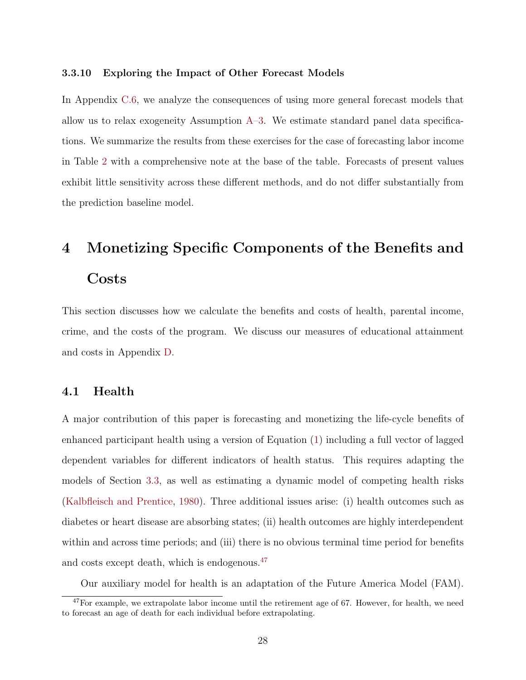#### 3.3.10 Exploring the Impact of Other Forecast Models

In Appendix [C.6,](#page-0-0) we analyze the consequences of using more general forecast models that allow us to relax exogeneity Assumption [A–3.](#page-23-1) We estimate standard panel data specifications. We summarize the results from these exercises for the case of forecasting labor income in Table [2](#page-28-0) with a comprehensive note at the base of the table. Forecasts of present values exhibit little sensitivity across these different methods, and do not differ substantially from the prediction baseline model.

# <span id="page-29-0"></span>4 Monetizing Specific Components of the Benefits and Costs

This section discusses how we calculate the benefits and costs of health, parental income, crime, and the costs of the program. We discuss our measures of educational attainment and costs in Appendix [D.](#page-0-0)

#### <span id="page-29-1"></span>4.1 Health

A major contribution of this paper is forecasting and monetizing the life-cycle benefits of enhanced participant health using a version of Equation [\(1\)](#page-17-0) including a full vector of lagged dependent variables for different indicators of health status. This requires adapting the models of Section [3.3,](#page-17-1) as well as estimating a dynamic model of competing health risks [\(Kalbfleisch and Prentice,](#page-50-11) [1980\)](#page-50-11). Three additional issues arise: (i) health outcomes such as diabetes or heart disease are absorbing states; (ii) health outcomes are highly interdependent within and across time periods; and (iii) there is no obvious terminal time period for benefits and costs except death, which is endogenous.<sup>[47](#page-0-0)</sup>

Our auxiliary model for health is an adaptation of the Future America Model (FAM).

<sup>&</sup>lt;sup>47</sup>For example, we extrapolate labor income until the retirement age of 67. However, for health, we need to forecast an age of death for each individual before extrapolating.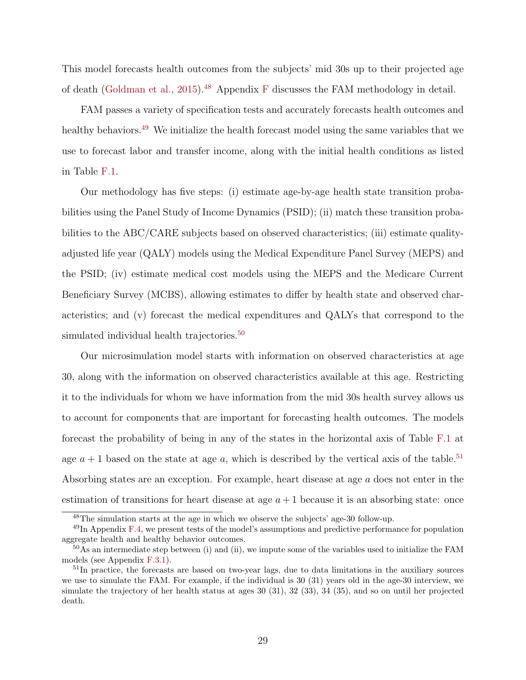This model forecasts health outcomes from the subjects' mid 30s up to their projected age of death [\(Goldman et al.,](#page-49-12) [2015\)](#page-49-12).<sup>[48](#page-0-0)</sup> Appendix [F](#page-0-0) discusses the FAM methodology in detail.

FAM passes a variety of specification tests and accurately forecasts health outcomes and healthy behaviors.<sup>[49](#page-0-0)</sup> We initialize the health forecast model using the same variables that we use to forecast labor and transfer income, along with the initial health conditions as listed in Table [F.1.](#page-0-0)

Our methodology has five steps: (i) estimate age-by-age health state transition probabilities using the Panel Study of Income Dynamics (PSID); (ii) match these transition probabilities to the ABC/CARE subjects based on observed characteristics; (iii) estimate qualityadjusted life year (QALY) models using the Medical Expenditure Panel Survey (MEPS) and the PSID; (iv) estimate medical cost models using the MEPS and the Medicare Current Beneficiary Survey (MCBS), allowing estimates to differ by health state and observed characteristics; and (v) forecast the medical expenditures and QALYs that correspond to the simulated individual health trajectories.<sup>[50](#page-0-0)</sup>

Our microsimulation model starts with information on observed characteristics at age 30, along with the information on observed characteristics available at this age. Restricting it to the individuals for whom we have information from the mid 30s health survey allows us to account for components that are important for forecasting health outcomes. The models forecast the probability of being in any of the states in the horizontal axis of Table [F.1](#page-0-0) at age  $a + 1$  based on the state at age a, which is described by the vertical axis of the table.<sup>[51](#page-0-0)</sup> Absorbing states are an exception. For example, heart disease at age a does not enter in the estimation of transitions for heart disease at age  $a + 1$  because it is an absorbing state: once

<sup>48</sup>The simulation starts at the age in which we observe the subjects' age-30 follow-up.

 $^{49}$ In Appendix [F.4,](#page-0-0) we present tests of the model's assumptions and predictive performance for population aggregate health and healthy behavior outcomes.

 $50\,\text{As}$  an intermediate step between (i) and (ii), we impute some of the variables used to initialize the FAM models (see Appendix [F.3.1\)](#page-0-0).

<sup>51</sup>In practice, the forecasts are based on two-year lags, due to data limitations in the auxiliary sources we use to simulate the FAM. For example, if the individual is 30 (31) years old in the age-30 interview, we simulate the trajectory of her health status at ages 30 (31), 32 (33), 34 (35), and so on until her projected death.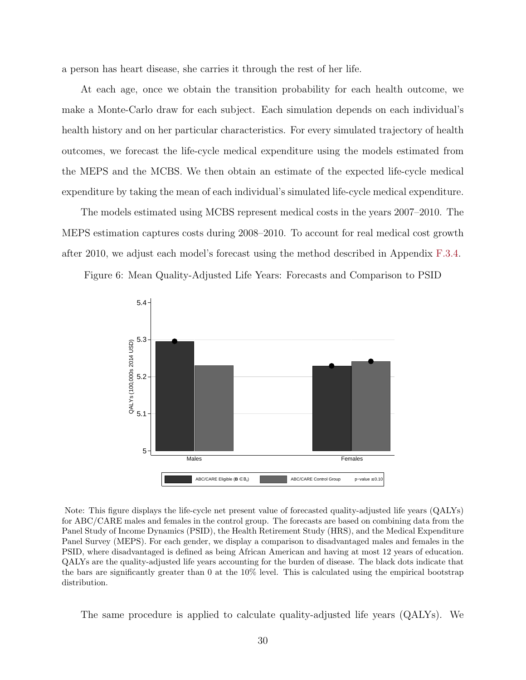a person has heart disease, she carries it through the rest of her life.

At each age, once we obtain the transition probability for each health outcome, we make a Monte-Carlo draw for each subject. Each simulation depends on each individual's health history and on her particular characteristics. For every simulated trajectory of health outcomes, we forecast the life-cycle medical expenditure using the models estimated from the MEPS and the MCBS. We then obtain an estimate of the expected life-cycle medical expenditure by taking the mean of each individual's simulated life-cycle medical expenditure.

The models estimated using MCBS represent medical costs in the years 2007–2010. The MEPS estimation captures costs during 2008–2010. To account for real medical cost growth after 2010, we adjust each model's forecast using the method described in Appendix [F.3.4.](#page-0-0)



<span id="page-31-0"></span>Figure 6: Mean Quality-Adjusted Life Years: Forecasts and Comparison to PSID

Note: This figure displays the life-cycle net present value of forecasted quality-adjusted life years (QALYs) for ABC/CARE males and females in the control group. The forecasts are based on combining data from the Panel Study of Income Dynamics (PSID), the Health Retirement Study (HRS), and the Medical Expenditure Panel Survey (MEPS). For each gender, we display a comparison to disadvantaged males and females in the PSID, where disadvantaged is defined as being African American and having at most 12 years of education. QALYs are the quality-adjusted life years accounting for the burden of disease. The black dots indicate that the bars are significantly greater than 0 at the 10% level. This is calculated using the empirical bootstrap distribution.

The same procedure is applied to calculate quality-adjusted life years (QALYs). We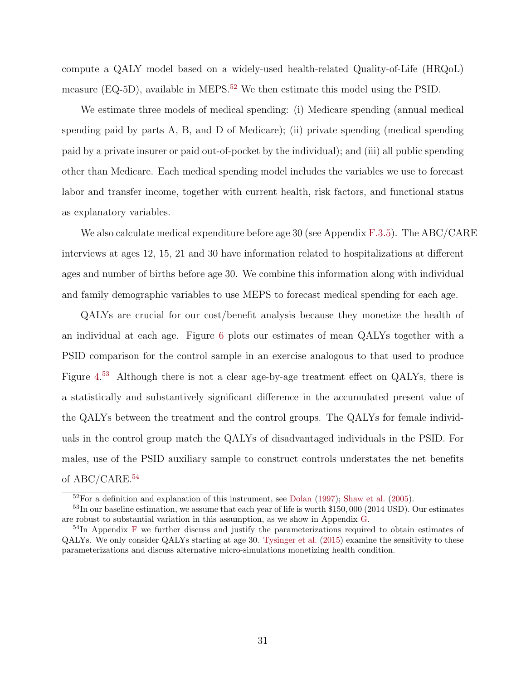compute a QALY model based on a widely-used health-related Quality-of-Life (HRQoL) measure  $(EQ-5D)$ , available in MEPS.<sup>[52](#page-0-0)</sup> We then estimate this model using the PSID.

We estimate three models of medical spending: (i) Medicare spending (annual medical spending paid by parts A, B, and D of Medicare); (ii) private spending (medical spending paid by a private insurer or paid out-of-pocket by the individual); and (iii) all public spending other than Medicare. Each medical spending model includes the variables we use to forecast labor and transfer income, together with current health, risk factors, and functional status as explanatory variables.

We also calculate medical expenditure before age 30 (see Appendix [F.3.5\)](#page-0-0). The ABC/CARE interviews at ages 12, 15, 21 and 30 have information related to hospitalizations at different ages and number of births before age 30. We combine this information along with individual and family demographic variables to use MEPS to forecast medical spending for each age.

QALYs are crucial for our cost/benefit analysis because they monetize the health of an individual at each age. Figure [6](#page-31-0) plots our estimates of mean QALYs together with a PSID comparison for the control sample in an exercise analogous to that used to produce Figure  $4.53$  $4.53$  Although there is not a clear age-by-age treatment effect on QALYs, there is a statistically and substantively significant difference in the accumulated present value of the QALYs between the treatment and the control groups. The QALYs for female individuals in the control group match the QALYs of disadvantaged individuals in the PSID. For males, use of the PSID auxiliary sample to construct controls understates the net benefits of ABC/CARE.<sup>[54](#page-0-0)</sup>

<span id="page-32-0"></span> $52$  For a definition and explanation of this instrument, see [Dolan](#page-48-11) [\(1997\)](#page-48-11); [Shaw et al.](#page-52-7) [\(2005\)](#page-52-7).

<sup>&</sup>lt;sup>53</sup>In our baseline estimation, we assume that each year of life is worth \$150,000 (2014 USD). Our estimates are robust to substantial variation in this assumption, as we show in Appendix [G.](#page-0-0)

<sup>54</sup>In Appendix [F](#page-0-0) we further discuss and justify the parameterizations required to obtain estimates of QALYs. We only consider QALYs starting at age 30. [Tysinger et al.](#page-52-8) [\(2015\)](#page-52-8) examine the sensitivity to these parameterizations and discuss alternative micro-simulations monetizing health condition.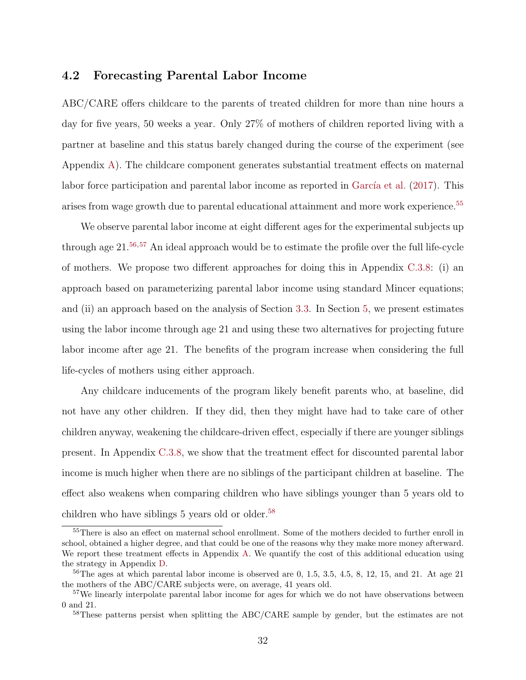#### 4.2 Forecasting Parental Labor Income

ABC/CARE offers childcare to the parents of treated children for more than nine hours a day for five years, 50 weeks a year. Only 27% of mothers of children reported living with a partner at baseline and this status barely changed during the course of the experiment (see Appendix [A\)](#page-0-0). The childcare component generates substantial treatment effects on maternal labor force participation and parental labor income as reported in García et al.  $(2017)$ . This arises from wage growth due to parental educational attainment and more work experience.[55](#page-0-0)

We observe parental labor income at eight different ages for the experimental subjects up through age  $21^{56,57}$  $21^{56,57}$  $21^{56,57}$  $21^{56,57}$  $21^{56,57}$  An ideal approach would be to estimate the profile over the full life-cycle of mothers. We propose two different approaches for doing this in Appendix [C.3.8:](#page-0-0) (i) an approach based on parameterizing parental labor income using standard Mincer equations; and (ii) an approach based on the analysis of Section [3.3.](#page-17-1) In Section [5,](#page-36-0) we present estimates using the labor income through age 21 and using these two alternatives for projecting future labor income after age 21. The benefits of the program increase when considering the full life-cycles of mothers using either approach.

Any childcare inducements of the program likely benefit parents who, at baseline, did not have any other children. If they did, then they might have had to take care of other children anyway, weakening the childcare-driven effect, especially if there are younger siblings present. In Appendix [C.3.8,](#page-0-0) we show that the treatment effect for discounted parental labor income is much higher when there are no siblings of the participant children at baseline. The effect also weakens when comparing children who have siblings younger than 5 years old to children who have siblings 5 years old or older.<sup>[58](#page-0-0)</sup>

<sup>&</sup>lt;sup>55</sup>There is also an effect on maternal school enrollment. Some of the mothers decided to further enroll in school, obtained a higher degree, and that could be one of the reasons why they make more money afterward. We report these treatment effects in Appendix [A.](#page-0-0) We quantify the cost of this additional education using the strategy in Appendix [D.](#page-0-0)

 $56$ The ages at which parental labor income is observed are 0, 1.5, 3.5, 4.5, 8, 12, 15, and 21. At age 21 the mothers of the ABC/CARE subjects were, on average, 41 years old.

<sup>&</sup>lt;sup>57</sup>We linearly interpolate parental labor income for ages for which we do not have observations between 0 and 21.

<sup>&</sup>lt;sup>58</sup>These patterns persist when splitting the ABC/CARE sample by gender, but the estimates are not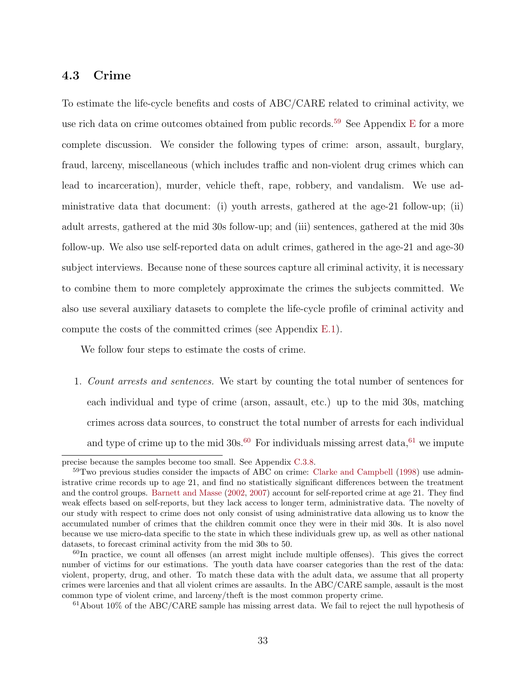### 4.3 Crime

To estimate the life-cycle benefits and costs of ABC/CARE related to criminal activity, we use rich data on crime outcomes obtained from public records.<sup>[59](#page-0-0)</sup> See Appendix [E](#page-0-0) for a more complete discussion. We consider the following types of crime: arson, assault, burglary, fraud, larceny, miscellaneous (which includes traffic and non-violent drug crimes which can lead to incarceration), murder, vehicle theft, rape, robbery, and vandalism. We use administrative data that document: (i) youth arrests, gathered at the age-21 follow-up; (ii) adult arrests, gathered at the mid 30s follow-up; and (iii) sentences, gathered at the mid 30s follow-up. We also use self-reported data on adult crimes, gathered in the age-21 and age-30 subject interviews. Because none of these sources capture all criminal activity, it is necessary to combine them to more completely approximate the crimes the subjects committed. We also use several auxiliary datasets to complete the life-cycle profile of criminal activity and compute the costs of the committed crimes (see Appendix [E.1\)](#page-0-0).

We follow four steps to estimate the costs of crime.

1. Count arrests and sentences. We start by counting the total number of sentences for each individual and type of crime (arson, assault, etc.) up to the mid 30s, matching crimes across data sources, to construct the total number of arrests for each individual and type of crime up to the mid  $30s^{60}$  $30s^{60}$  $30s^{60}$  For individuals missing arrest data, <sup>[61](#page-0-0)</sup> we impute

precise because the samples become too small. See Appendix [C.3.8.](#page-0-0)

<sup>&</sup>lt;sup>59</sup>Two previous studies consider the impacts of ABC on crime: [Clarke and Campbell](#page-47-7) [\(1998\)](#page-47-7) use administrative crime records up to age 21, and find no statistically significant differences between the treatment and the control groups. [Barnett and Masse](#page-47-0) [\(2002,](#page-47-0) [2007\)](#page-47-1) account for self-reported crime at age 21. They find weak effects based on self-reports, but they lack access to longer term, administrative data. The novelty of our study with respect to crime does not only consist of using administrative data allowing us to know the accumulated number of crimes that the children commit once they were in their mid 30s. It is also novel because we use micro-data specific to the state in which these individuals grew up, as well as other national datasets, to forecast criminal activity from the mid 30s to 50.

 $60$ In practice, we count all offenses (an arrest might include multiple offenses). This gives the correct number of victims for our estimations. The youth data have coarser categories than the rest of the data: violent, property, drug, and other. To match these data with the adult data, we assume that all property crimes were larcenies and that all violent crimes are assaults. In the ABC/CARE sample, assault is the most common type of violent crime, and larceny/theft is the most common property crime.

 $61A$ bout 10% of the ABC/CARE sample has missing arrest data. We fail to reject the null hypothesis of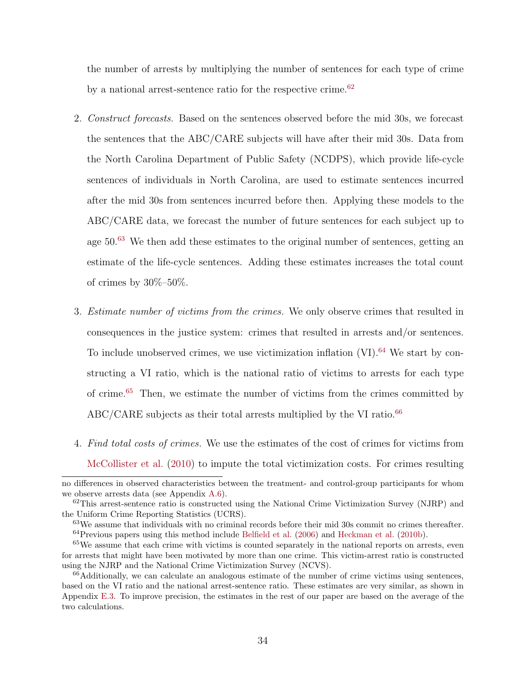the number of arrests by multiplying the number of sentences for each type of crime by a national arrest-sentence ratio for the respective crime. $62$ 

- 2. Construct forecasts. Based on the sentences observed before the mid 30s, we forecast the sentences that the ABC/CARE subjects will have after their mid 30s. Data from the North Carolina Department of Public Safety (NCDPS), which provide life-cycle sentences of individuals in North Carolina, are used to estimate sentences incurred after the mid 30s from sentences incurred before then. Applying these models to the ABC/CARE data, we forecast the number of future sentences for each subject up to age 50.[63](#page-0-0) We then add these estimates to the original number of sentences, getting an estimate of the life-cycle sentences. Adding these estimates increases the total count of crimes by  $30\% - 50\%$ .
- 3. Estimate number of victims from the crimes. We only observe crimes that resulted in consequences in the justice system: crimes that resulted in arrests and/or sentences. To include unobserved crimes, we use victimization inflation  $(VI)$ .<sup>[64](#page-0-0)</sup> We start by constructing a VI ratio, which is the national ratio of victims to arrests for each type of crime.[65](#page-0-0) Then, we estimate the number of victims from the crimes committed by ABC/CARE subjects as their total arrests multiplied by the VI ratio. $66$
- 4. Find total costs of crimes. We use the estimates of the cost of crimes for victims from [McCollister et al.](#page-50-12) [\(2010\)](#page-50-12) to impute the total victimization costs. For crimes resulting

no differences in observed characteristics between the treatment- and control-group participants for whom we observe arrests data (see Appendix [A.6\)](#page-0-0).

 $62$ This arrest-sentence ratio is constructed using the National Crime Victimization Survey (NJRP) and the Uniform Crime Reporting Statistics (UCRS).

<sup>63</sup>We assume that individuals with no criminal records before their mid 30s commit no crimes thereafter.  $64$ Previous papers using this method include [Belfield et al.](#page-47-8) [\(2006\)](#page-47-8) and [Heckman et al.](#page-49-2) [\(2010b\)](#page-49-2).

<sup>65</sup>We assume that each crime with victims is counted separately in the national reports on arrests, even for arrests that might have been motivated by more than one crime. This victim-arrest ratio is constructed using the NJRP and the National Crime Victimization Survey (NCVS).

<sup>&</sup>lt;sup>66</sup>Additionally, we can calculate an analogous estimate of the number of crime victims using sentences, based on the VI ratio and the national arrest-sentence ratio. These estimates are very similar, as shown in Appendix [E.3.](#page-0-0) To improve precision, the estimates in the rest of our paper are based on the average of the two calculations.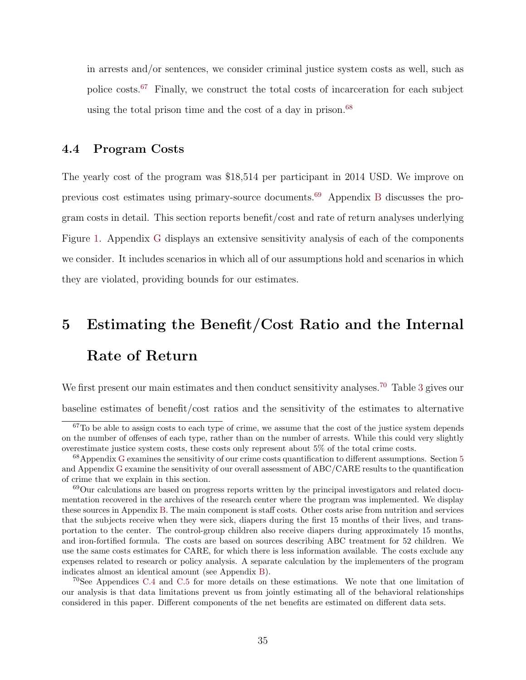in arrests and/or sentences, we consider criminal justice system costs as well, such as police costs.[67](#page-0-0) Finally, we construct the total costs of incarceration for each subject using the total prison time and the cost of a day in prison. $68$ 

#### 4.4 Program Costs

The yearly cost of the program was \$18,514 per participant in 2014 USD. We improve on previous cost estimates using primary-source documents.[69](#page-0-0) Appendix [B](#page-0-0) discusses the program costs in detail. This section reports benefit/cost and rate of return analyses underlying Figure [1.](#page-6-0) Appendix [G](#page-0-0) displays an extensive sensitivity analysis of each of the components we consider. It includes scenarios in which all of our assumptions hold and scenarios in which they are violated, providing bounds for our estimates.

## <span id="page-36-0"></span>5 Estimating the Benefit/Cost Ratio and the Internal Rate of Return

We first present our main estimates and then conduct sensitivity analyses.<sup>[70](#page-0-0)</sup> Table [3](#page-38-0) gives our baseline estimates of benefit/cost ratios and the sensitivity of the estimates to alternative

 $67T<sub>O</sub>$  be able to assign costs to each type of crime, we assume that the cost of the justice system depends on the number of offenses of each type, rather than on the number of arrests. While this could very slightly overestimate justice system costs, these costs only represent about 5% of the total crime costs.

<sup>68</sup>Appendix [G](#page-0-0) examines the sensitivity of our crime costs quantification to different assumptions. Section [5](#page-36-0) and Appendix [G](#page-0-0) examine the sensitivity of our overall assessment of ABC/CARE results to the quantification of crime that we explain in this section.

<sup>&</sup>lt;sup>69</sup>Our calculations are based on progress reports written by the principal investigators and related documentation recovered in the archives of the research center where the program was implemented. We display these sources in Appendix [B.](#page-0-0) The main component is staff costs. Other costs arise from nutrition and services that the subjects receive when they were sick, diapers during the first 15 months of their lives, and transportation to the center. The control-group children also receive diapers during approximately 15 months, and iron-fortified formula. The costs are based on sources describing ABC treatment for 52 children. We use the same costs estimates for CARE, for which there is less information available. The costs exclude any expenses related to research or policy analysis. A separate calculation by the implementers of the program indicates almost an identical amount (see Appendix [B\)](#page-0-0).

<sup>70</sup>See Appendices [C.4](#page-0-0) and [C.5](#page-0-0) for more details on these estimations. We note that one limitation of our analysis is that data limitations prevent us from jointly estimating all of the behavioral relationships considered in this paper. Different components of the net benefits are estimated on different data sets.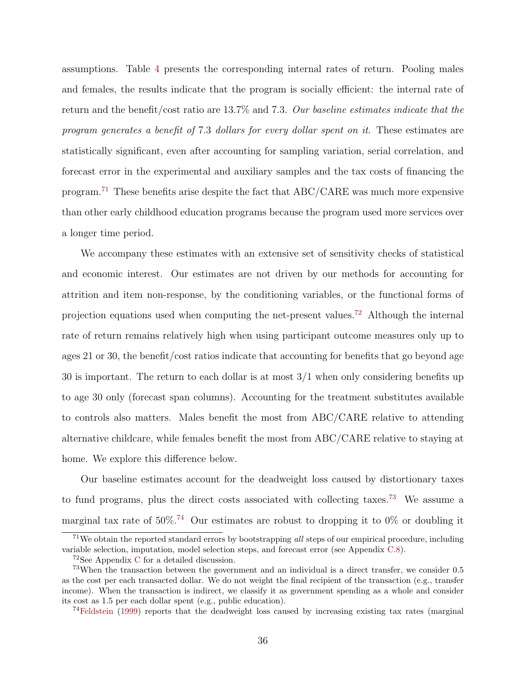assumptions. Table [4](#page-39-0) presents the corresponding internal rates of return. Pooling males and females, the results indicate that the program is socially efficient: the internal rate of return and the benefit/cost ratio are 13.7% and 7.3. Our baseline estimates indicate that the program generates a benefit of 7.3 dollars for every dollar spent on it. These estimates are statistically significant, even after accounting for sampling variation, serial correlation, and forecast error in the experimental and auxiliary samples and the tax costs of financing the program.[71](#page-0-0) These benefits arise despite the fact that ABC/CARE was much more expensive than other early childhood education programs because the program used more services over a longer time period.

We accompany these estimates with an extensive set of sensitivity checks of statistical and economic interest. Our estimates are not driven by our methods for accounting for attrition and item non-response, by the conditioning variables, or the functional forms of projection equations used when computing the net-present values.<sup>[72](#page-0-0)</sup> Although the internal rate of return remains relatively high when using participant outcome measures only up to ages 21 or 30, the benefit/cost ratios indicate that accounting for benefits that go beyond age 30 is important. The return to each dollar is at most  $3/1$  when only considering benefits up to age 30 only (forecast span columns). Accounting for the treatment substitutes available to controls also matters. Males benefit the most from ABC/CARE relative to attending alternative childcare, while females benefit the most from ABC/CARE relative to staying at home. We explore this difference below.

Our baseline estimates account for the deadweight loss caused by distortionary taxes to fund programs, plus the direct costs associated with collecting taxes.<sup>[73](#page-0-0)</sup> We assume a marginal tax rate of  $50\%$ .<sup>[74](#page-0-0)</sup> Our estimates are robust to dropping it to  $0\%$  or doubling it

 $71$ We obtain the reported standard errors by bootstrapping all steps of our empirical procedure, including variable selection, imputation, model selection steps, and forecast error (see Appendix [C.8\)](#page-0-0).

<sup>72</sup>See Appendix [C](#page-0-0) for a detailed discussion.

<sup>73</sup>When the transaction between the government and an individual is a direct transfer, we consider 0.5 as the cost per each transacted dollar. We do not weight the final recipient of the transaction (e.g., transfer income). When the transaction is indirect, we classify it as government spending as a whole and consider its cost as 1.5 per each dollar spent (e.g., public education).

<sup>74</sup>[Feldstein](#page-48-12) [\(1999\)](#page-48-12) reports that the deadweight loss caused by increasing existing tax rates (marginal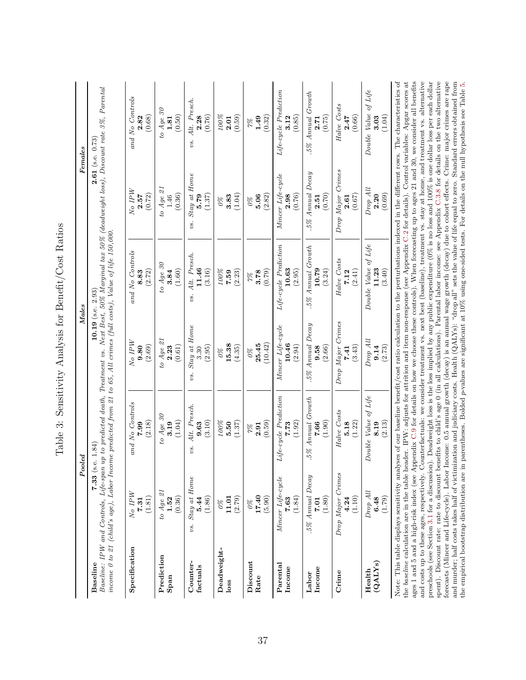| Specification         | No IPW                  | and No Controls                                                                                                                                                       | NoIPW                    | and No Controls       | $No$ $IPW$               | and No Controls                                                                                                                                                                                                                                                                                                                                   |
|-----------------------|-------------------------|-----------------------------------------------------------------------------------------------------------------------------------------------------------------------|--------------------------|-----------------------|--------------------------|---------------------------------------------------------------------------------------------------------------------------------------------------------------------------------------------------------------------------------------------------------------------------------------------------------------------------------------------------|
|                       | $\bf 7.31$              | 7.99                                                                                                                                                                  | 9.80                     | 8.83                  | 2.57                     | 2.82                                                                                                                                                                                                                                                                                                                                              |
|                       | (1.81)                  | (2.18)                                                                                                                                                                | (2.69)                   | (2.72)                | (0.72)                   | (0.68)                                                                                                                                                                                                                                                                                                                                            |
|                       |                         |                                                                                                                                                                       |                          |                       |                          |                                                                                                                                                                                                                                                                                                                                                   |
| Prediction            | to Age 21               | to Age 30                                                                                                                                                             | to Age 21                | to $Age 30$           | to Age 2                 | to Age 30                                                                                                                                                                                                                                                                                                                                         |
| ${\bf s}_{\bf p a n}$ | 1.52                    | 3.19                                                                                                                                                                  | 2.23                     | 3.84                  | 1.46                     | 1.81                                                                                                                                                                                                                                                                                                                                              |
|                       | (0.36)                  | (1.04)                                                                                                                                                                | (0.61)                   | (1.60)                | (0.36)                   | (0.50)                                                                                                                                                                                                                                                                                                                                            |
| Counter-              | $Stay$ at $Home$<br>vs. | Alt. Presch.<br>vs.                                                                                                                                                   | Stay at Home<br>vs.      | Alt. Presch.<br>vs.   | Stay at Home<br>vs.      | Alt. Presch.<br>vs.                                                                                                                                                                                                                                                                                                                               |
| factuals              | 5.44                    | 9.63                                                                                                                                                                  | 3.30                     | 11.46                 | 5.79                     | 2.28                                                                                                                                                                                                                                                                                                                                              |
|                       | (1.86)                  | (3.10)                                                                                                                                                                | (2.95)                   | (3.16)                | (1.37)                   | (0.76)                                                                                                                                                                                                                                                                                                                                            |
| Deadweight-           | $\partial\mathcal{E}$   | 100%                                                                                                                                                                  | $\theta\%$               | $100\%$               | $\mathcal{O}\mathcal{Z}$ | 100%                                                                                                                                                                                                                                                                                                                                              |
| loss                  | 11.01                   | 5.50                                                                                                                                                                  | 15.38                    | 7.59                  | 3.83                     | 2.01                                                                                                                                                                                                                                                                                                                                              |
|                       | (2.79)                  | (1.37)                                                                                                                                                                | (4.35)                   | (2.23)                | (1.04)                   | (0.59)                                                                                                                                                                                                                                                                                                                                            |
| Discount              | 0%                      | 7%                                                                                                                                                                    | $\mathcal{O}\mathcal{Z}$ | 7%                    | $\overline{\omega}$      | 7%                                                                                                                                                                                                                                                                                                                                                |
| Rate                  | 17.40                   | 2.91                                                                                                                                                                  | 25.45                    | 3.78                  | 5.06                     | 1.49                                                                                                                                                                                                                                                                                                                                              |
|                       | (5.90)                  | (0.59)                                                                                                                                                                | (10.42)                  | (0.79)                | (2.82)                   | (0.32)                                                                                                                                                                                                                                                                                                                                            |
|                       |                         |                                                                                                                                                                       |                          |                       |                          |                                                                                                                                                                                                                                                                                                                                                   |
| Parental              | Mincer Life-cycle       | Life-cycle Prediction                                                                                                                                                 | Mincer Life-cycle        | Life-cycle Prediction | Mincer Life-cycle        | Life-cycle Prediction                                                                                                                                                                                                                                                                                                                             |
| Income                | 7.63                    | 7.73                                                                                                                                                                  | 10.46                    | 10.63                 | 2.98                     | 3.12                                                                                                                                                                                                                                                                                                                                              |
|                       | (1.84)                  | (1.92)                                                                                                                                                                | (2.94)                   | (2.95)                | (0.76)                   | (0.85)                                                                                                                                                                                                                                                                                                                                            |
| Labor                 | 5% Annual Decay         | $.5\%$ Annual Growth                                                                                                                                                  | 5% Annual Decay          | .5% Annual Growth     | .5% Annual Decay         | $.5\%$ Annual Growth                                                                                                                                                                                                                                                                                                                              |
| Income                | 7.01                    | 7.66                                                                                                                                                                  | 9.58                     | 10.79                 | 2.51                     | $\frac{71}{2}$                                                                                                                                                                                                                                                                                                                                    |
|                       | (1.80)                  | (1.90)                                                                                                                                                                | (2.66)                   | (3.24)                | (0.70)                   | (0.75)                                                                                                                                                                                                                                                                                                                                            |
| Crime                 | Drop Major Crimes       | Halve Costs                                                                                                                                                           | Drop Major Crimes        | Halve Costs           | Drop Major Crimes        | Halve Costs                                                                                                                                                                                                                                                                                                                                       |
|                       | 4.24                    | 5.18                                                                                                                                                                  | 7.41                     | 7.12                  | 2.61                     | 2.47                                                                                                                                                                                                                                                                                                                                              |
|                       | (1.10)                  | (1.22)                                                                                                                                                                | (3.43)                   | (2.41)                | (0.67)                   | (0.66)                                                                                                                                                                                                                                                                                                                                            |
| $\rm Health$          | Drop All                | Double Value of Life                                                                                                                                                  | Drop All                 | Double Value of Life  | Drop All                 | Double Value of Life                                                                                                                                                                                                                                                                                                                              |
| $\rm (QALYS)$         | 6.48                    | 8.19                                                                                                                                                                  | 9.14                     | 11.23                 | 2.20                     | 3.03                                                                                                                                                                                                                                                                                                                                              |
|                       | (1.79)                  | (2.13)                                                                                                                                                                | (2.73)                   | (3.40)                | (0.69)                   | (1.04)                                                                                                                                                                                                                                                                                                                                            |
|                       |                         |                                                                                                                                                                       |                          |                       |                          | Note: This table displays sensitivity analyses of our baseline benefit/cost ratio calculation to the perturbations indexed in the different rows. The characteristics of<br>the baseline calculation are in the table header. IPW: adjusts for attrition and item non-response (see Appendix C.2 for details). Control variables: Apgar scores at |
|                       |                         |                                                                                                                                                                       |                          |                       |                          | ages 1 and 5 and a high-risk index (see Appendix C.9 for details on how we choose these controls). When forecasting up to ages 21 and 30, we consider all benefits<br>and costs up to these ages, respectively. Counterfactuals: we consider treatment vs. next best (baseline), treatment vs. stay at home, and treatment vs. alternative        |
|                       |                         |                                                                                                                                                                       |                          |                       |                          | preschools (see Section 3.1 for a discussion). Deadweight loss is the loss implied by any public expenditure (0% is no loss and 100% is one dollar loss per each dollar                                                                                                                                                                           |
|                       |                         | spent). Discount rate: rate to discount benefits to child's age 0 (in all calculations). Parental labor income: see Appendix C.3.8 for details on the two alternative |                          |                       |                          |                                                                                                                                                                                                                                                                                                                                                   |

spent). Discount rate: rate to discount benefits to child's age 0 (in all calculations). Parental labor income: see Appendix [C.3.8](#page-0-0) for details on the two alternative forecasts (Mincer and Life-cycle). Labor Income: 0.5 annual growth (decay) is an annual wage growth (decay) due to cohort effects. Crime: major crimes are rape and murder; half costs takes half of victimization and judiciary costs. Health (QALYs): "drop all" sets the value of life equal to zero. Standard errors obtained from<br>the constituent headth alternatives are in concertance the empirical bootstrap distribution are in parentheses. Bolded p-values are significant at 10% using one-sided tests. For details on the null hypothesis see Table [5.](#page-41-0)

forecasts (Mincer and Life-cycle). Labor Income: 0.5 annual growth (decay) is an annual wage growth (decay) due to cohort effects. Crime: major crimes are rape and murder; half costs takes half of victimization and judici

Table 3: Sensitivity Analysis for Benefit/Cost Ratios Table 3: Sensitivity Analysis for Benefit/Cost Ratios  $Pooled$   $Pooled$ 

 $Males$ 

<span id="page-38-0"></span> $Pooled$ 

 $\label{p:4} \begin{array}{c} \textit{Females} \end{array}$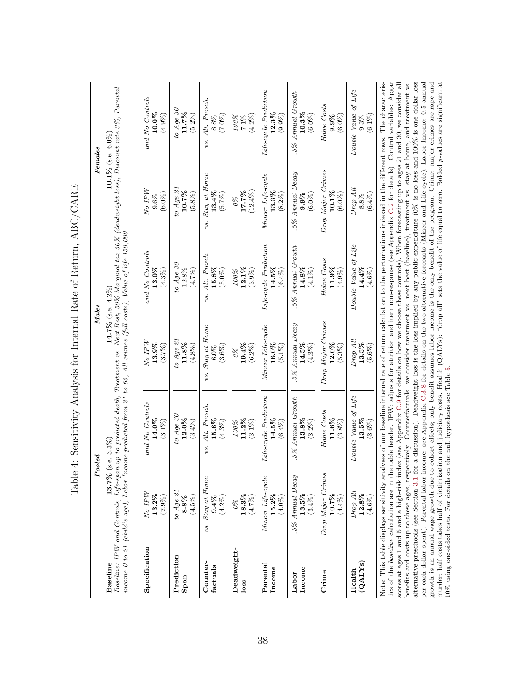|                             |                                            | Pooled                                                                                                                                                                                                                                                                                       |                                          | Males                                     |                                            | Females                                                                                                                                                                                 |
|-----------------------------|--------------------------------------------|----------------------------------------------------------------------------------------------------------------------------------------------------------------------------------------------------------------------------------------------------------------------------------------------|------------------------------------------|-------------------------------------------|--------------------------------------------|-----------------------------------------------------------------------------------------------------------------------------------------------------------------------------------------|
| Baseline                    | $13.7\%$                                   | Baseline: IPW and Controls, Life-span up to predicted death, Treatment vs. Next Best, 50% Marginal tax 50% (deadweight loss), Discount rate 3%, Parental<br>income 0 to 21 (child's age), Labor Income predicted from 21 to 65, All crimes (full costs), Value of life 150,000.<br>s.e. 3.3% |                                          | $14.7\%$ (s.e. 4.2%)                      |                                            | $10.1\%$ (s.e. 6.0%)                                                                                                                                                                    |
| Specification               | No IPW<br>13.2%<br>(2.9%)                  | and No Controls<br>14.0%<br>$(3.1\%)$                                                                                                                                                                                                                                                        | No IPW<br>13.9%<br>(3.7%)                | and No Controls<br>13.0%<br>$(4.3\%)$     | No IPW<br>$(6.0\%)$<br>9.6%                | and No Controls<br>$10.0\%$<br>$(4.9\%)$                                                                                                                                                |
| Prediction<br>${\bf S}$ pan | to Age 21<br>$(4.5\%)$<br>8.8%             | to $Age 30$<br>12.0%<br>$(3.4\%)$                                                                                                                                                                                                                                                            | to Age 21<br>11.8%<br>$(4.8\%)$          | to $Age 30$<br>12.8%<br>(4.7%)            | to $Age$ 21<br>10.7%<br>$(5.8\%)$          | $to Age$ 30<br>11.7%<br>$(5.2\%)$                                                                                                                                                       |
| Counter-<br>factuals        | vs. Stay at Home<br>$(4.2\%)$<br>$9.4\%$   | vs. Alt. Presch.<br>15.6%<br>$(4.3\%)$                                                                                                                                                                                                                                                       | Stay at Home<br>$(3.6\%)$<br>6.0%<br>vs. | Alt. Presch.<br>15.8%<br>$(5.0\%)$<br>υs. | Stay at Home<br>13.4%<br>(5.7%)<br>vs.     | Alt. Presch.<br>$(7.0\%)$<br>8.8%<br>vs.                                                                                                                                                |
| Deadweight-<br>loss         | 18.3%<br>(4.7%)<br>0%                      | 11.2%<br>$(3.1\%)$<br>100%                                                                                                                                                                                                                                                                   | 19.4%<br>$(6.2\%)$<br>0%                 | $12.1\%$<br>$(3.9\%)$<br>100%             | 17.7%<br>$(12.4\%)$<br>80                  | $(4.2\%)$<br>100%<br>$7.1\%$                                                                                                                                                            |
| $\rm {Parental}$<br>Income  | Mincer Life-cycle<br>$15.2\%$<br>$(4.0\%)$ | Life-cycle Prediction<br>14.5%<br>$(6.4\%)$                                                                                                                                                                                                                                                  | Mincer Life-cycle<br>16.0%<br>$(5.1\%)$  | Life-cycle Prediction<br>14.5%<br>(6.4%)  | Mincer Life-cycle<br>$13.3\%$<br>$(8.2\%)$ | Life-cycle Prediction<br>$12.3\%$<br>(9.9%                                                                                                                                              |
| Income<br>Labor             | 5% Annual Decay<br>13.5%<br>$(3.4\%)$      | $5\%$ Annual Growth<br>13.8%<br>$(3.2\%)$                                                                                                                                                                                                                                                    | 5% Annual Decay<br>14.5%<br>$(4.3\%)$    | 5% Annual Growth<br>14.8%<br>$(4.1\%)$    | .5% Annual Decay<br>$(6.0\%)$<br>9.9%      | 5% Annual Growth<br>$10.3\%$<br>$(6.0\%)$                                                                                                                                               |
| Crime                       | Drop Major Crimes<br>10.7%<br>(4.4%        | Halve Costs<br>11.6%<br>$(3.8\%)$                                                                                                                                                                                                                                                            | Drop Major Crimes<br>12.0%<br>(5.3%)     | Halve Costs<br>11.9%<br>(4.9%)            | Drop Major Crimes<br>10.1%<br>$(6.0\%)$    | Halve Costs<br>$(6.0\%)$<br>9.9%                                                                                                                                                        |
| (QALYS)<br>Health           | Drop All<br>12.8%<br>$(4.6\%)$             | Double Value of Life<br>13.5%<br>$(3.6\%)$                                                                                                                                                                                                                                                   | Drop All<br>13.5%<br>$(5.6\%)$           | Double Value of Life<br>14.4%<br>(4.6%)   | Drop All<br>(6.4%)<br>8.8%                 | Double Value of Life<br>$(6.1\%)$<br>9.3%                                                                                                                                               |
|                             |                                            | Note: This table displays sensitivity analyses of our baseline internal rate of return calculation to the perturbations indexed in the different rows.                                                                                                                                       |                                          |                                           |                                            | tics of the baseline calculation are in the table header. IPW: adjusts for attrition and item non-response (see Appendix C.2 for details). Control variables: Apgar<br>The characteris- |

<span id="page-39-0"></span>

| トレ・スー くしょ                                                                                              |
|--------------------------------------------------------------------------------------------------------|
|                                                                                                        |
| <br> <br> <br>$\ddot{\phantom{0}}$<br>ļ<br>-<br><<br><<br>$\frac{1}{2}$<br>ļ                           |
| 一个 一个 年的 医心理                                                                                           |
|                                                                                                        |
| <br> <br> <br> <br> <br>l                                                                              |
| $-1$<br>֧֦֧֦֧ׅ֧ׅ֧֧֚֚֚֚֚֚֚֚֚֚֚֚֚֚֚֚֚֚֚֚֚֚֚֚֚֚֡֡֜֓֝֓<br>Í                                                |
| i<br>֧֧֦֧֧֦֧֦֧֧֦֧֦֧֦֧֦֧֧֦֧֧֓֓֓֓֓֓֓֓֓֓֓֓֩֓֓֓֝֬֓֓֓֓֓֓֓<br>֧֖֧֧֧֧֧֧֧֦֧֦֧֦֧֦֧֜֩֩֩֩֩֩֩֩֓֘֩֩֩֓֘֩֩֓<br>í<br>l |

scose at ages 1 and 5 and a high-risk index (see Appen: ix C; 9 for details on how we choose these controls). When forecasting up to ages 21 and 30, we consider the ages, respectively. Counterfactuals: we consider treatmen tics of the baseline calculation are in the table header. IPW: adjusts for attrition and item non-response (see Appendix [C.2](#page-0-0) for details). Control variables: Apgar scores at ages 1 and 5 and a high-risk index (see Appendix [C.9](#page-0-0) for details on how we chose these controls). When forecasting up to ages 21 and 30, we consider all benefits and costs up to these ages, respectively. Counterfactuals: we consider treatment vs. next best (baseline), treatment vs. stay at home, and treatment vs. alternative preschools (see Section [3.1](#page-12-1) for a discussion). Deadweight loss is the loss implied by any public expenditure (0% is no loss and 100% is one dollar loss per each dollar spent). Parental labor income: see Appendix [C.3.8](#page-0-0) for details on the two alternative forecasts (Mincer and Life-cycle). Labor Income: 0.5 annual growth is an annual wage growth due to cohort effects; only benefit assumes labor income is the only benefit of the program. Crime: major crimes are rape and murder; half costs takes half of victimization and judiciary costs. Health (QALYs): "drop all" sets the value of life equal to zero. Bolded p-values are significant at 10% using one-sided tests. For details on the null hypothesis see Table [5.](#page-41-0)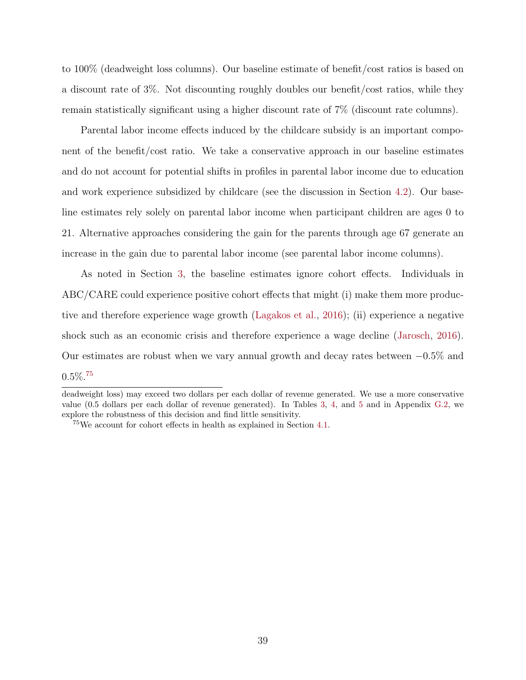to 100% (deadweight loss columns). Our baseline estimate of benefit/cost ratios is based on a discount rate of 3%. Not discounting roughly doubles our benefit/cost ratios, while they remain statistically significant using a higher discount rate of 7% (discount rate columns).

Parental labor income effects induced by the childcare subsidy is an important component of the benefit/cost ratio. We take a conservative approach in our baseline estimates and do not account for potential shifts in profiles in parental labor income due to education and work experience subsidized by childcare (see the discussion in Section [4.2\)](#page-32-0). Our baseline estimates rely solely on parental labor income when participant children are ages 0 to 21. Alternative approaches considering the gain for the parents through age 67 generate an increase in the gain due to parental labor income (see parental labor income columns).

As noted in Section [3,](#page-12-0) the baseline estimates ignore cohort effects. Individuals in ABC/CARE could experience positive cohort effects that might (i) make them more productive and therefore experience wage growth [\(Lagakos et al.,](#page-50-8) [2016\)](#page-50-8); (ii) experience a negative shock such as an economic crisis and therefore experience a wage decline [\(Jarosch,](#page-50-13) [2016\)](#page-50-13). Our estimates are robust when we vary annual growth and decay rates between −0.5% and  $0.5\%.$ <sup>[75](#page-0-0)</sup>

deadweight loss) may exceed two dollars per each dollar of revenue generated. We use a more conservative value (0.5 dollars per each dollar of revenue generated). In Tables [3,](#page-38-0) [4,](#page-39-0) and [5](#page-41-0) and in Appendix [G.2,](#page-0-0) we explore the robustness of this decision and find little sensitivity.

<sup>75</sup>We account for cohort effects in health as explained in Section [4.1.](#page-29-1)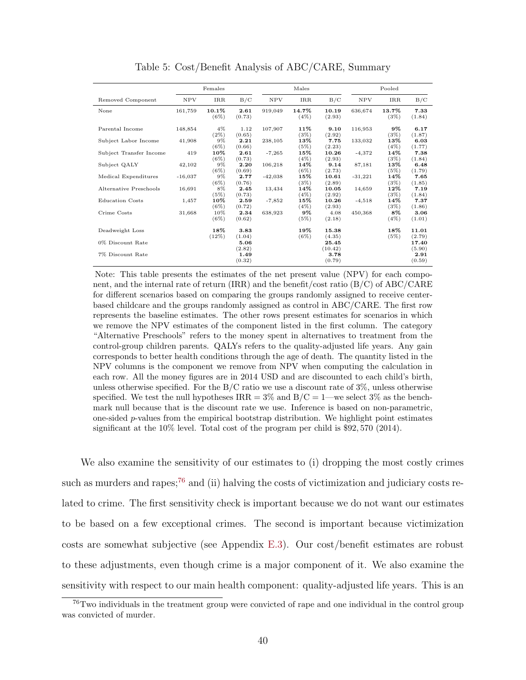<span id="page-41-0"></span>

|                         |            | Females        |                |           | Males          |                  |            | Pooled         |                 |
|-------------------------|------------|----------------|----------------|-----------|----------------|------------------|------------|----------------|-----------------|
| Removed Component       | <b>NPV</b> | <b>IRR</b>     | B/C            | NPV       | <b>IRR</b>     | B/C              | <b>NPV</b> | <b>IRR</b>     | B/C             |
| None                    | 161,759    | 10.1%<br>(6%)  | 2.61<br>(0.73) | 919.049   | 14.7%<br>(4%)  | 10.19<br>(2.93)  | 636.674    | 13.7%<br>(3%)  | 7.33<br>(1.84)  |
| Parental Income         | 148,854    | 4%<br>$(2\%)$  | 1.12<br>(0.65) | 107,907   | 11%<br>(3%)    | 9.10<br>(2.92)   | 116,953    | 9%<br>(3%)     | 6.17<br>(1.87)  |
| Subject Labor Income    | 41,908     | 9%<br>$(6\%)$  | 2.21<br>(0.66) | 238,105   | 13%<br>(5%)    | 7.75<br>(2.23)   | 133,032    | $13\%$<br>(4%) | 6.03<br>(1.77)  |
| Subject Transfer Income | 419        | 10%<br>$(6\%)$ | 2.61<br>(0.73) | $-7,265$  | $15\%$<br>(4%) | 10.26<br>(2.93)  | $-4,372$   | 14%<br>(3%)    | 7.38<br>(1.84)  |
| Subject QALY            | 42,102     | 9%<br>(6%)     | 2.20<br>(0.69) | 106,218   | 14%<br>$(6\%)$ | 9.14<br>(2.73)   | 87,181     | 13%<br>(5%)    | 6.48<br>(1.79)  |
| Medical Expenditures    | $-16,037$  | 9%<br>$(6\%)$  | 2.77<br>(0.76) | $-42,038$ | $15\%$<br>(3%) | 10.61<br>(2.89)  | $-31,221$  | 14%<br>(3%)    | 7.65<br>(1.85)  |
| Alternative Preschools  | 16,691     | 8%<br>(5%)     | 2.45<br>(0.73) | 13,434    | 14%<br>(4%)    | 10.05<br>(2.92)  | 14,659     | 12%<br>(3%)    | 7.19<br>(1.84)  |
| <b>Education Costs</b>  | 1,457      | 10%<br>$(6\%)$ | 2.59<br>(0.72) | $-7,852$  | 15%<br>(4%)    | 10.26<br>(2.93)  | $-4,518$   | 14%<br>(3%)    | 7.37<br>(1.86)  |
| Crime Costs             | 31,668     | 10%<br>(6%)    | 2.34<br>(0.62) | 638,923   | 9%<br>(5%)     | 4.08<br>(2.18)   | 450,368    | 8%<br>(4%)     | 3.06<br>(1.01)  |
| Deadweight Loss         |            | 18%<br>(12%)   | 3.83<br>(1.04) |           | 19%<br>(6%)    | 15.38<br>(4.35)  |            | 18%<br>(5%)    | 11.01<br>(2.79) |
| 0% Discount Rate        |            |                | 5.06<br>(2.82) |           |                | 25.45<br>(10.42) |            |                | 17.40<br>(5.90) |
| 7% Discount Rate        |            |                | 1.49<br>(0.32) |           |                | 3.78<br>(0.79)   |            |                | 2.91<br>(0.59)  |

Table 5: Cost/Benefit Analysis of ABC/CARE, Summary

Note: This table presents the estimates of the net present value (NPV) for each component, and the internal rate of return (IRR) and the benefit/cost ratio (B/C) of ABC/CARE for different scenarios based on comparing the groups randomly assigned to receive centerbased childcare and the groups randomly assigned as control in ABC/CARE. The first row represents the baseline estimates. The other rows present estimates for scenarios in which we remove the NPV estimates of the component listed in the first column. The category "Alternative Preschools" refers to the money spent in alternatives to treatment from the control-group children parents. QALYs refers to the quality-adjusted life years. Any gain corresponds to better health conditions through the age of death. The quantity listed in the NPV columns is the component we remove from NPV when computing the calculation in each row. All the money figures are in 2014 USD and are discounted to each child's birth, unless otherwise specified. For the  $B/C$  ratio we use a discount rate of  $3\%$ , unless otherwise specified. We test the null hypotheses IRR =  $3\%$  and B/C = 1—we select 3% as the benchmark null because that is the discount rate we use. Inference is based on non-parametric, one-sided  $p$ -values from the empirical bootstrap distribution. We highlight point estimates significant at the 10% level. Total cost of the program per child is \$92, 570 (2014).

We also examine the sensitivity of our estimates to (i) dropping the most costly crimes such as murders and rapes; $^{76}$  $^{76}$  $^{76}$  and (ii) halving the costs of victimization and judiciary costs related to crime. The first sensitivity check is important because we do not want our estimates to be based on a few exceptional crimes. The second is important because victimization costs are somewhat subjective (see Appendix [E.3\)](#page-0-0). Our cost/benefit estimates are robust to these adjustments, even though crime is a major component of it. We also examine the sensitivity with respect to our main health component: quality-adjusted life years. This is an

<sup>76</sup>Two individuals in the treatment group were convicted of rape and one individual in the control group was convicted of murder.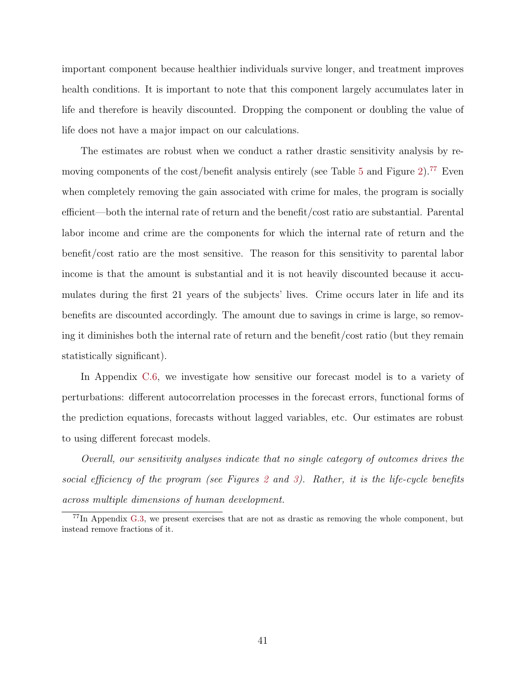important component because healthier individuals survive longer, and treatment improves health conditions. It is important to note that this component largely accumulates later in life and therefore is heavily discounted. Dropping the component or doubling the value of life does not have a major impact on our calculations.

The estimates are robust when we conduct a rather drastic sensitivity analysis by re-moving components of the cost/benefit analysis entirely (see Table [5](#page-41-0) and Figure [2\)](#page-7-0).<sup>[77](#page-0-0)</sup> Even when completely removing the gain associated with crime for males, the program is socially efficient—both the internal rate of return and the benefit/cost ratio are substantial. Parental labor income and crime are the components for which the internal rate of return and the benefit/cost ratio are the most sensitive. The reason for this sensitivity to parental labor income is that the amount is substantial and it is not heavily discounted because it accumulates during the first 21 years of the subjects' lives. Crime occurs later in life and its benefits are discounted accordingly. The amount due to savings in crime is large, so removing it diminishes both the internal rate of return and the benefit/cost ratio (but they remain statistically significant).

In Appendix [C.6,](#page-0-0) we investigate how sensitive our forecast model is to a variety of perturbations: different autocorrelation processes in the forecast errors, functional forms of the prediction equations, forecasts without lagged variables, etc. Our estimates are robust to using different forecast models.

Overall, our sensitivity analyses indicate that no single category of outcomes drives the social efficiency of the program (see Figures [2](#page-7-0) and [3\)](#page-9-0). Rather, it is the life-cycle benefits across multiple dimensions of human development.

<span id="page-42-0"></span><sup>77</sup>In Appendix [G.3,](#page-0-0) we present exercises that are not as drastic as removing the whole component, but instead remove fractions of it.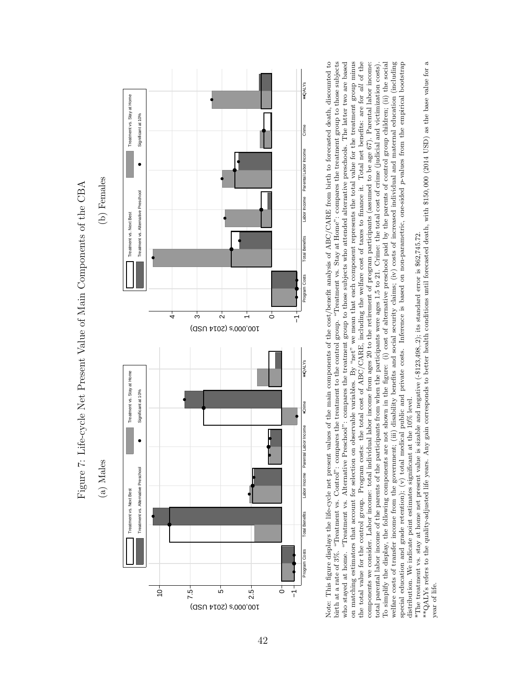Figure 7: Life-cycle Net Present Value of Main Components of the CBA Figure 7: Life-cycle Net Present Value of Main Components of the CBA

(a) Males

(b) Females



Note: This figure displays the life-cycle net present values of the main components of the cost/benefit analysis of ABC/CARE from birth to forecasted death, discounted to Total net benefits: are for all of the "Treatment vs. Control": compares the treatment to the control group. "Treatment vs. Stay at Home": compares the treatment group to those subjects who stayed at home. "Treatment vs. Alternative Preschool": compares the treatment group to those subjects who attended alternative preschools. The latter two are based on matching estimators that account for selection on observable variables. By "net" we mean that each component represents the total value for the treatment group minus components we consider. Labor income: total individual labor income from ages 20 to the retirement of program participants (assumed to be age 67). Parental labor income: welfare costs of transfer income from the government; (iii) disability benefits and social security claims; (iv) costs of increased individual and maternal education (including special education and grade retention); (v) total medical public and private costs. Inference is based on non-parametric, one-sided p-values from the empirical bootstrap Note: This figure displays the life-cycle net present values of the main components of the cost/benefit analysis of ABC/CARE from birth to forecasted death, discounted to birth at a rate of 3%. "Treatment vs. Control": compares the treatment to the control group. "Treatment vs. Stay at Home": compares the treatment group to those subjects who stayed at home. "Treatment vs. Alternative Preschool": compares the treatment group to those subjects who attended alternative preschools. The latter two are based on matching estimators that account for selection on observable variables. By "net" we mean that each component represents the total value for the treatment group minus the total value for the control group. Program costs: the total cost of ABC/CARE, including the welfare cost of taxes to finance it. Total net benefits: are for all of the components we consider. Labor income: total individual labor income from ages 20 to the retirement of program participants (assumed to be age 67). Parental labor income: total parental labor income of the parents of the participants from when the participants were ages 1.5 to 21. Crime: the total cost of crime (judicial and victimization costs). total parental labor income of the parents of the participants from when the participants were ages 1.5 to 21. Crime: the total cost of crime (judicial and victimization costs). To simplify the display, the following components are not shown in the figure: (i) cost of alternative preschool paid by the parents of control group children; (ii) the social To simplify the display, the following components are not shown in the figure: (i) cost of alternative preschool paid by the parents of control group children; (ii) the social welfare costs of transfer income from the government; (iii) disability benefits and social security claims; (iv) costs of increased individual and maternal education (including special education and grade retention); (v) total medical public and private costs. Inference is based on non-parametric, one-sided p-values from the empirical bootstrap the total value for the control group. Program costs: the total cost of ABC/CARE, including the welfare cost of taxes to finance it. distribution. We indicate point estimates significant at the 10% level. distribution. We indicate point estimates significant at the 10% level. birth at a rate of 3%.

\*The treatment vs. stay at home net present value is sizable and negative  $(-\$123,498,2)$ ; its standard error is  $\$62,745.72$ . \*The treatment vs. stay at home net present value is sizable and negative (-\$123,498,.2); its standard error is \$62,745.72.

\*\* $QALXs$  refers to the quality-adjusted life years. Any gain corresponds to better health conditions until forecasted death, with \$150,000 (2014 USD) as the base value for a \*\*QALYs refers to the quality-adjusted life years. Any gain corresponds to better health conditions until forecasted death, with \$150, 000 (2014 USD) as the base value for a year of life. year of life.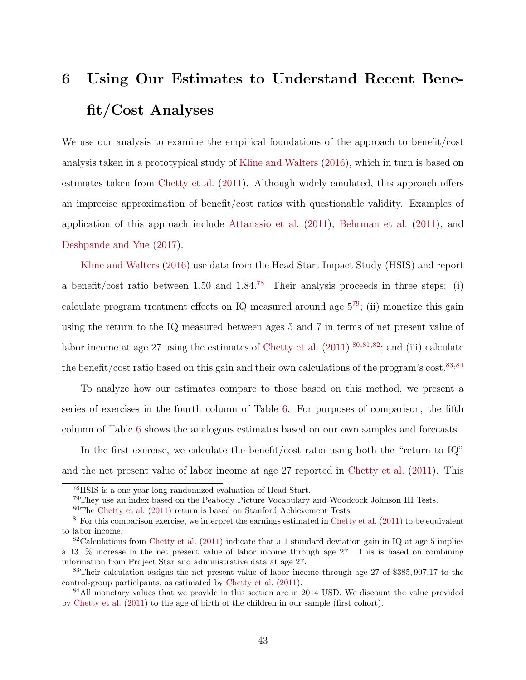# 6 Using Our Estimates to Understand Recent Benefit/Cost Analyses

We use our analysis to examine the empirical foundations of the approach to benefit/cost analysis taken in a prototypical study of [Kline and Walters](#page-50-1) [\(2016\)](#page-50-1), which in turn is based on estimates taken from [Chetty et al.](#page-47-9) [\(2011\)](#page-47-9). Although widely emulated, this approach offers an imprecise approximation of benefit/cost ratios with questionable validity. Examples of application of this approach include [Attanasio et al.](#page-47-10) [\(2011\)](#page-47-10), [Behrman et al.](#page-47-11) [\(2011\)](#page-47-11), and [Deshpande and Yue](#page-48-13) [\(2017\)](#page-48-13).

[Kline and Walters](#page-50-1) [\(2016\)](#page-50-1) use data from the Head Start Impact Study (HSIS) and report a benefit/cost ratio between 1.50 and  $1.84<sup>78</sup>$  $1.84<sup>78</sup>$  $1.84<sup>78</sup>$  Their analysis proceeds in three steps: (i) calculate program treatment effects on IQ measured around age  $5^{79}$  $5^{79}$  $5^{79}$ ; (ii) monetize this gain using the return to the IQ measured between ages 5 and 7 in terms of net present value of labor income at age 27 using the estimates of [Chetty et al.](#page-47-9)  $(2011)$ .<sup>[80](#page-0-0),[81](#page-0-0),[82](#page-0-0)</sup>; and (iii) calculate the benefit/cost ratio based on this gain and their own calculations of the program's cost.<sup>[83](#page-0-0),[84](#page-0-0)</sup>

To analyze how our estimates compare to those based on this method, we present a series of exercises in the fourth column of Table [6.](#page-45-0) For purposes of comparison, the fifth column of Table [6](#page-45-0) shows the analogous estimates based on our own samples and forecasts.

In the first exercise, we calculate the benefit/cost ratio using both the "return to IQ" and the net present value of labor income at age 27 reported in [Chetty et al.](#page-47-9) [\(2011\)](#page-47-9). This

<sup>78</sup>HSIS is a one-year-long randomized evaluation of Head Start.

<sup>79</sup>They use an index based on the Peabody Picture Vocabulary and Woodcock Johnson III Tests.

<sup>80</sup>The [Chetty et al.](#page-47-9) [\(2011\)](#page-47-9) return is based on Stanford Achievement Tests.

 $81$  For this comparison exercise, we interpret the earnings estimated in [Chetty et al.](#page-47-9) [\(2011\)](#page-47-9) to be equivalent to labor income.

<sup>&</sup>lt;sup>82</sup>Calculations from [Chetty et al.](#page-47-9) [\(2011\)](#page-47-9) indicate that a 1 standard deviation gain in IQ at age 5 implies a 13.1% increase in the net present value of labor income through age 27. This is based on combining information from Project Star and administrative data at age 27.

<sup>83</sup>Their calculation assigns the net present value of labor income through age 27 of \$385, 907.17 to the control-group participants, as estimated by [Chetty et al.](#page-47-9) [\(2011\)](#page-47-9).

<sup>84</sup>All monetary values that we provide in this section are in 2014 USD. We discount the value provided by [Chetty et al.](#page-47-9) [\(2011\)](#page-47-9) to the age of birth of the children in our sample (first cohort).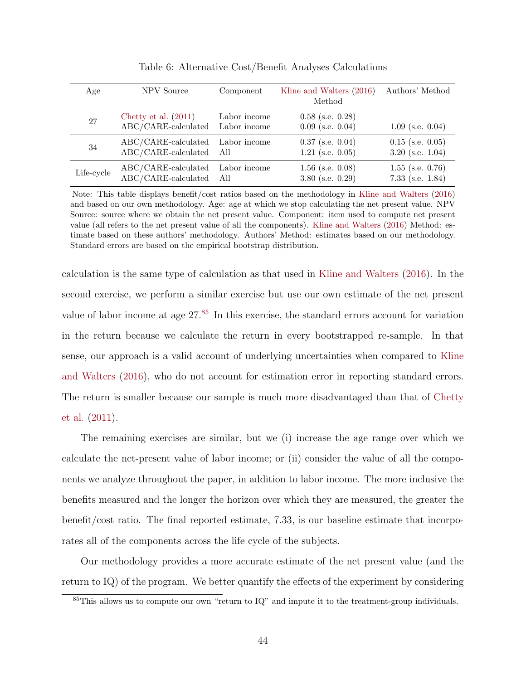<span id="page-45-0"></span>

| Age        | NPV Source                                                  | Component                    | Kline and Walters (2016)<br>Method             | Authors' Method                             |
|------------|-------------------------------------------------------------|------------------------------|------------------------------------------------|---------------------------------------------|
| 27         | Chetty et al. $(2011)$<br>$ABC/CARE$ -calculated            | Labor income<br>Labor income | $0.58$ (s.e. $0.28$ )<br>$0.09$ (s.e. $0.04$ ) | $1.09$ (s.e. 0.04)                          |
| 34         | ABC/CARE-calculated Labor income<br>ABC/CARE-calculated All |                              | $0.37$ (s.e. $0.04$ )<br>$1.21$ (s.e. 0.05)    | $0.15$ (s.e. $0.05$ )<br>$3.20$ (s.e. 1.04) |
| Life-cycle | ABC/CARE-calculated<br>ABC/CARE-calculated All              | Labor income                 | $1.56$ (s.e. 0.08)<br>3.80 (s.e. $0.29$ )      | $1.55$ (s.e. 0.76)<br>$7.33$ (s.e. 1.84)    |

Table 6: Alternative Cost/Benefit Analyses Calculations

Note: This table displays benefit/cost ratios based on the methodology in [Kline and Walters](#page-50-1) [\(2016\)](#page-50-1) and based on our own methodology. Age: age at which we stop calculating the net present value. NPV Source: source where we obtain the net present value. Component: item used to compute net present value (all refers to the net present value of all the components). [Kline and Walters](#page-50-1) [\(2016\)](#page-50-1) Method: estimate based on these authors' methodology. Authors' Method: estimates based on our methodology. Standard errors are based on the empirical bootstrap distribution.

calculation is the same type of calculation as that used in [Kline and Walters](#page-50-1) [\(2016\)](#page-50-1). In the second exercise, we perform a similar exercise but use our own estimate of the net present value of labor income at age  $27.^{85}$  $27.^{85}$  $27.^{85}$  In this exercise, the standard errors account for variation in the return because we calculate the return in every bootstrapped re-sample. In that sense, our approach is a valid account of underlying uncertainties when compared to [Kline](#page-50-1) [and Walters](#page-50-1) [\(2016\)](#page-50-1), who do not account for estimation error in reporting standard errors. The return is smaller because our sample is much more disadvantaged than that of [Chetty](#page-47-9) [et al.](#page-47-9) [\(2011\)](#page-47-9).

The remaining exercises are similar, but we (i) increase the age range over which we calculate the net-present value of labor income; or (ii) consider the value of all the components we analyze throughout the paper, in addition to labor income. The more inclusive the benefits measured and the longer the horizon over which they are measured, the greater the benefit/cost ratio. The final reported estimate, 7.33, is our baseline estimate that incorporates all of the components across the life cycle of the subjects.

Our methodology provides a more accurate estimate of the net present value (and the return to IQ) of the program. We better quantify the effects of the experiment by considering

 $85$ This allows us to compute our own "return to IQ" and impute it to the treatment-group individuals.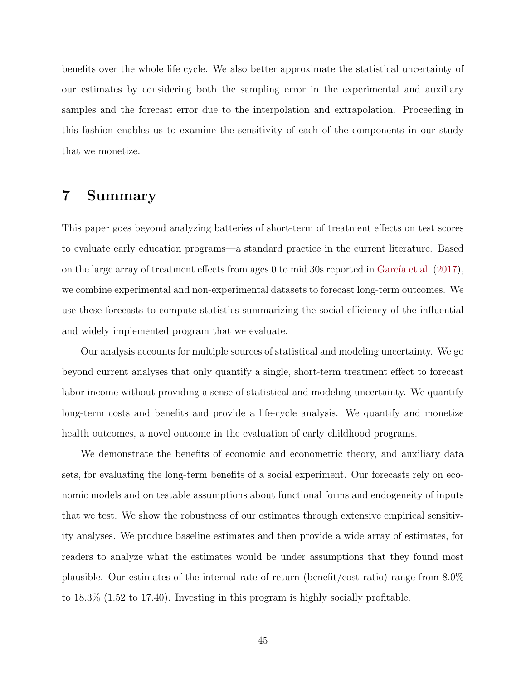benefits over the whole life cycle. We also better approximate the statistical uncertainty of our estimates by considering both the sampling error in the experimental and auxiliary samples and the forecast error due to the interpolation and extrapolation. Proceeding in this fashion enables us to examine the sensitivity of each of the components in our study that we monetize.

## <span id="page-46-0"></span>7 Summary

This paper goes beyond analyzing batteries of short-term of treatment effects on test scores to evaluate early education programs—a standard practice in the current literature. Based on the large array of treatment effects from ages 0 to mid 30s reported in García et al.  $(2017)$ , we combine experimental and non-experimental datasets to forecast long-term outcomes. We use these forecasts to compute statistics summarizing the social efficiency of the influential and widely implemented program that we evaluate.

Our analysis accounts for multiple sources of statistical and modeling uncertainty. We go beyond current analyses that only quantify a single, short-term treatment effect to forecast labor income without providing a sense of statistical and modeling uncertainty. We quantify long-term costs and benefits and provide a life-cycle analysis. We quantify and monetize health outcomes, a novel outcome in the evaluation of early childhood programs.

We demonstrate the benefits of economic and econometric theory, and auxiliary data sets, for evaluating the long-term benefits of a social experiment. Our forecasts rely on economic models and on testable assumptions about functional forms and endogeneity of inputs that we test. We show the robustness of our estimates through extensive empirical sensitivity analyses. We produce baseline estimates and then provide a wide array of estimates, for readers to analyze what the estimates would be under assumptions that they found most plausible. Our estimates of the internal rate of return (benefit/cost ratio) range from 8.0% to 18.3% (1.52 to 17.40). Investing in this program is highly socially profitable.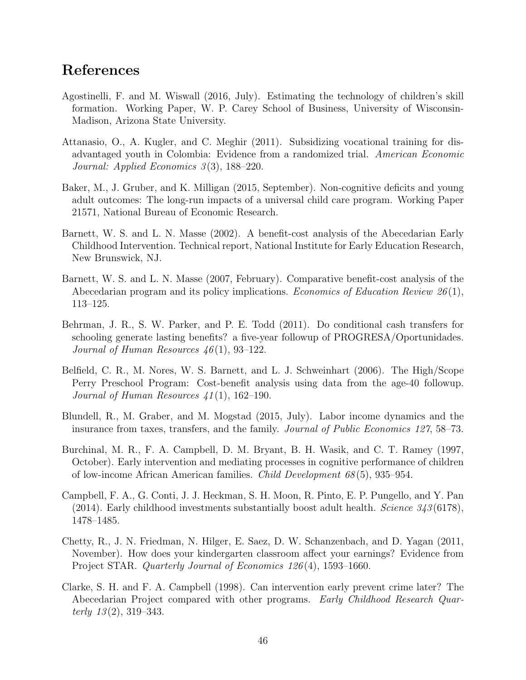## References

- <span id="page-47-6"></span>Agostinelli, F. and M. Wiswall (2016, July). Estimating the technology of children's skill formation. Working Paper, W. P. Carey School of Business, University of Wisconsin-Madison, Arizona State University.
- <span id="page-47-10"></span>Attanasio, O., A. Kugler, and C. Meghir (2011). Subsidizing vocational training for disadvantaged youth in Colombia: Evidence from a randomized trial. American Economic Journal: Applied Economics 3(3), 188–220.
- <span id="page-47-2"></span>Baker, M., J. Gruber, and K. Milligan (2015, September). Non-cognitive deficits and young adult outcomes: The long-run impacts of a universal child care program. Working Paper 21571, National Bureau of Economic Research.
- <span id="page-47-0"></span>Barnett, W. S. and L. N. Masse (2002). A benefit-cost analysis of the Abecedarian Early Childhood Intervention. Technical report, National Institute for Early Education Research, New Brunswick, NJ.
- <span id="page-47-1"></span>Barnett, W. S. and L. N. Masse (2007, February). Comparative benefit-cost analysis of the Abecedarian program and its policy implications. Economics of Education Review  $26(1)$ , 113–125.
- <span id="page-47-11"></span>Behrman, J. R., S. W. Parker, and P. E. Todd (2011). Do conditional cash transfers for schooling generate lasting benefits? a five-year followup of PROGRESA/Oportunidades. Journal of Human Resources  $46(1)$ , 93-122.
- <span id="page-47-8"></span>Belfield, C. R., M. Nores, W. S. Barnett, and L. J. Schweinhart (2006). The High/Scope Perry Preschool Program: Cost-benefit analysis using data from the age-40 followup. Journal of Human Resources  $41(1)$ , 162-190.
- <span id="page-47-5"></span>Blundell, R., M. Graber, and M. Mogstad (2015, July). Labor income dynamics and the insurance from taxes, transfers, and the family. Journal of Public Economics 127, 58–73.
- <span id="page-47-4"></span>Burchinal, M. R., F. A. Campbell, D. M. Bryant, B. H. Wasik, and C. T. Ramey (1997, October). Early intervention and mediating processes in cognitive performance of children of low-income African American families. *Child Development 68* $(5)$ , 935–954.
- <span id="page-47-3"></span>Campbell, F. A., G. Conti, J. J. Heckman, S. H. Moon, R. Pinto, E. P. Pungello, and Y. Pan (2014). Early childhood investments substantially boost adult health. Science  $343(6178)$ , 1478–1485.
- <span id="page-47-9"></span>Chetty, R., J. N. Friedman, N. Hilger, E. Saez, D. W. Schanzenbach, and D. Yagan (2011, November). How does your kindergarten classroom affect your earnings? Evidence from Project STAR. *Quarterly Journal of Economics 126*(4), 1593–1660.
- <span id="page-47-7"></span>Clarke, S. H. and F. A. Campbell (1998). Can intervention early prevent crime later? The Abecedarian Project compared with other programs. Early Childhood Research Quarterly  $13(2)$ , 319–343.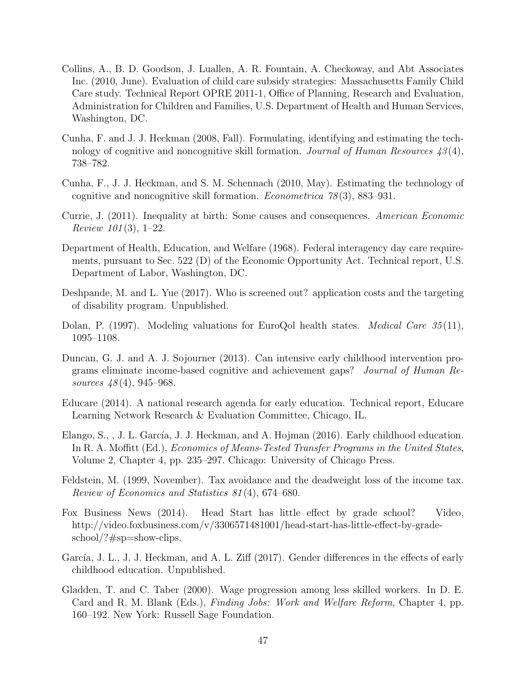- <span id="page-48-0"></span>Collins, A., B. D. Goodson, J. Luallen, A. R. Fountain, A. Checkoway, and Abt Associates Inc. (2010, June). Evaluation of child care subsidy strategies: Massachusetts Family Child Care study. Technical Report OPRE 2011-1, Office of Planning, Research and Evaluation, Administration for Children and Families, U.S. Department of Health and Human Services, Washington, DC.
- <span id="page-48-9"></span>Cunha, F. and J. J. Heckman (2008, Fall). Formulating, identifying and estimating the technology of cognitive and noncognitive skill formation. Journal of Human Resources  $\frac{1}{3}(4)$ , 738–782.
- <span id="page-48-10"></span>Cunha, F., J. J. Heckman, and S. M. Schennach (2010, May). Estimating the technology of cognitive and noncognitive skill formation. *Econometrica*  $78(3)$ , 883–931.
- <span id="page-48-3"></span>Currie, J. (2011). Inequality at birth: Some causes and consequences. American Economic Review 101 (3), 1–22.
- <span id="page-48-7"></span>Department of Health, Education, and Welfare (1968). Federal interagency day care requirements, pursuant to Sec. 522 (D) of the Economic Opportunity Act. Technical report, U.S. Department of Labor, Washington, DC.
- <span id="page-48-13"></span>Deshpande, M. and L. Yue (2017). Who is screened out? application costs and the targeting of disability program. Unpublished.
- <span id="page-48-11"></span>Dolan, P. (1997). Modeling valuations for EuroQol health states. *Medical Care*  $35(11)$ , 1095–1108.
- <span id="page-48-5"></span>Duncan, G. J. and A. J. Sojourner (2013). Can intensive early childhood intervention programs eliminate income-based cognitive and achievement gaps? Journal of Human Resources  $48(4)$ , 945–968.
- <span id="page-48-1"></span>Educare (2014). A national research agenda for early education. Technical report, Educare Learning Network Research & Evaluation Committee, Chicago, IL.
- <span id="page-48-4"></span>Elango, S., , J. L. García, J. J. Heckman, and A. Hojman  $(2016)$ . Early childhood education. In R. A. Moffitt (Ed.), *Economics of Means-Tested Transfer Programs in the United States*, Volume 2, Chapter 4, pp. 235–297. Chicago: University of Chicago Press.
- <span id="page-48-12"></span>Feldstein, M. (1999, November). Tax avoidance and the deadweight loss of the income tax. Review of Economics and Statistics 81 (4), 674–680.
- <span id="page-48-6"></span>Fox Business News (2014). Head Start has little effect by grade school? Video, http://video.foxbusiness.com/v/3306571481001/head-start-has-little-effect-by-gradeschool/?#sp=show-clips.
- <span id="page-48-2"></span>García, J. L., J. J. Heckman, and A. L. Ziff (2017). Gender differences in the effects of early childhood education. Unpublished.
- <span id="page-48-8"></span>Gladden, T. and C. Taber (2000). Wage progression among less skilled workers. In D. E. Card and R. M. Blank (Eds.), Finding Jobs: Work and Welfare Reform, Chapter 4, pp. 160–192. New York: Russell Sage Foundation.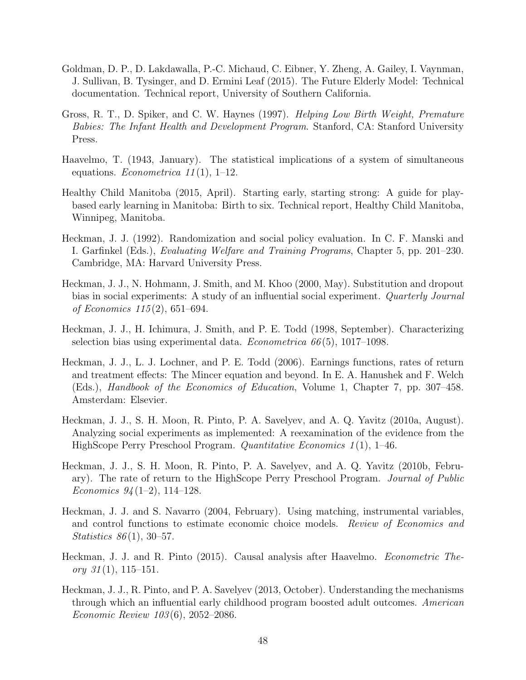- <span id="page-49-12"></span>Goldman, D. P., D. Lakdawalla, P.-C. Michaud, C. Eibner, Y. Zheng, A. Gailey, I. Vaynman, J. Sullivan, B. Tysinger, and D. Ermini Leaf (2015). The Future Elderly Model: Technical documentation. Technical report, University of Southern California.
- <span id="page-49-3"></span>Gross, R. T., D. Spiker, and C. W. Haynes (1997). Helping Low Birth Weight, Premature Babies: The Infant Health and Development Program. Stanford, CA: Stanford University Press.
- <span id="page-49-9"></span>Haavelmo, T. (1943, January). The statistical implications of a system of simultaneous equations. *Econometrica* 11(1), 1–12.
- <span id="page-49-0"></span>Healthy Child Manitoba (2015, April). Starting early, starting strong: A guide for playbased early learning in Manitoba: Birth to six. Technical report, Healthy Child Manitoba, Winnipeg, Manitoba.
- <span id="page-49-6"></span>Heckman, J. J. (1992). Randomization and social policy evaluation. In C. F. Manski and I. Garfinkel (Eds.), Evaluating Welfare and Training Programs, Chapter 5, pp. 201–230. Cambridge, MA: Harvard University Press.
- <span id="page-49-7"></span>Heckman, J. J., N. Hohmann, J. Smith, and M. Khoo (2000, May). Substitution and dropout bias in social experiments: A study of an influential social experiment. Quarterly Journal of Economics 115 (2), 651–694.
- <span id="page-49-8"></span>Heckman, J. J., H. Ichimura, J. Smith, and P. E. Todd (1998, September). Characterizing selection bias using experimental data. *Econometrica*  $66(5)$ , 1017–1098.
- <span id="page-49-5"></span>Heckman, J. J., L. J. Lochner, and P. E. Todd (2006). Earnings functions, rates of return and treatment effects: The Mincer equation and beyond. In E. A. Hanushek and F. Welch (Eds.), Handbook of the Economics of Education, Volume 1, Chapter 7, pp. 307–458. Amsterdam: Elsevier.
- <span id="page-49-1"></span>Heckman, J. J., S. H. Moon, R. Pinto, P. A. Savelyev, and A. Q. Yavitz (2010a, August). Analyzing social experiments as implemented: A reexamination of the evidence from the HighScope Perry Preschool Program. Quantitative Economics 1 (1), 1–46.
- <span id="page-49-2"></span>Heckman, J. J., S. H. Moon, R. Pinto, P. A. Savelyev, and A. Q. Yavitz (2010b, February). The rate of return to the HighScope Perry Preschool Program. Journal of Public Economics  $94(1-2)$ , 114-128.
- <span id="page-49-11"></span>Heckman, J. J. and S. Navarro (2004, February). Using matching, instrumental variables, and control functions to estimate economic choice models. Review of Economics and *Statistics*  $86(1)$ , 30–57.
- <span id="page-49-10"></span>Heckman, J. J. and R. Pinto (2015). Causal analysis after Haavelmo. Econometric Theory  $31(1)$ ,  $115-151$ .
- <span id="page-49-4"></span>Heckman, J. J., R. Pinto, and P. A. Savelyev (2013, October). Understanding the mechanisms through which an influential early childhood program boosted adult outcomes. American Economic Review 103 (6), 2052–2086.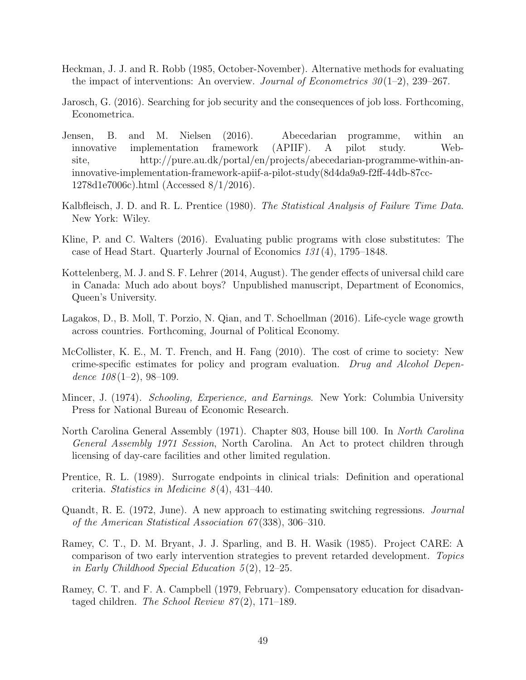- <span id="page-50-10"></span>Heckman, J. J. and R. Robb (1985, October-November). Alternative methods for evaluating the impact of interventions: An overview. Journal of Econometrics  $30(1-2)$ , 239–267.
- <span id="page-50-13"></span>Jarosch, G. (2016). Searching for job security and the consequences of job loss. Forthcoming, Econometrica.
- <span id="page-50-0"></span>Jensen, B. and M. Nielsen (2016). Abecedarian programme, within an innovative implementation framework (APIIF). A pilot study. Website, http://pure.au.dk/portal/en/projects/abecedarian-programme-within-aninnovative-implementation-framework-apiif-a-pilot-study(8d4da9a9-f2ff-44db-87cc-1278d1e7006c).html (Accessed 8/1/2016).
- <span id="page-50-11"></span>Kalbfleisch, J. D. and R. L. Prentice (1980). The Statistical Analysis of Failure Time Data. New York: Wiley.
- <span id="page-50-1"></span>Kline, P. and C. Walters (2016). Evaluating public programs with close substitutes: The case of Head Start. Quarterly Journal of Economics 131 (4), 1795–1848.
- <span id="page-50-4"></span>Kottelenberg, M. J. and S. F. Lehrer (2014, August). The gender effects of universal child care in Canada: Much ado about boys? Unpublished manuscript, Department of Economics, Queen's University.
- <span id="page-50-8"></span>Lagakos, D., B. Moll, T. Porzio, N. Qian, and T. Schoellman (2016). Life-cycle wage growth across countries. Forthcoming, Journal of Political Economy.
- <span id="page-50-12"></span>McCollister, K. E., M. T. French, and H. Fang (2010). The cost of crime to society: New crime-specific estimates for policy and program evaluation. Drug and Alcohol Dependence  $108(1-2)$ , 98-109.
- <span id="page-50-2"></span>Mincer, J. (1974). *Schooling, Experience, and Earnings*. New York: Columbia University Press for National Bureau of Economic Research.
- <span id="page-50-6"></span>North Carolina General Assembly (1971). Chapter 803, House bill 100. In North Carolina General Assembly 1971 Session, North Carolina. An Act to protect children through licensing of day-care facilities and other limited regulation.
- <span id="page-50-3"></span>Prentice, R. L. (1989). Surrogate endpoints in clinical trials: Definition and operational criteria. Statistics in Medicine  $8(4)$ , 431-440.
- <span id="page-50-9"></span>Quandt, R. E. (1972, June). A new approach to estimating switching regressions. Journal of the American Statistical Association 67 (338), 306–310.
- <span id="page-50-5"></span>Ramey, C. T., D. M. Bryant, J. J. Sparling, and B. H. Wasik (1985). Project CARE: A comparison of two early intervention strategies to prevent retarded development. Topics in Early Childhood Special Education 5 (2), 12–25.
- <span id="page-50-7"></span>Ramey, C. T. and F. A. Campbell (1979, February). Compensatory education for disadvantaged children. The School Review  $87(2)$ , 171–189.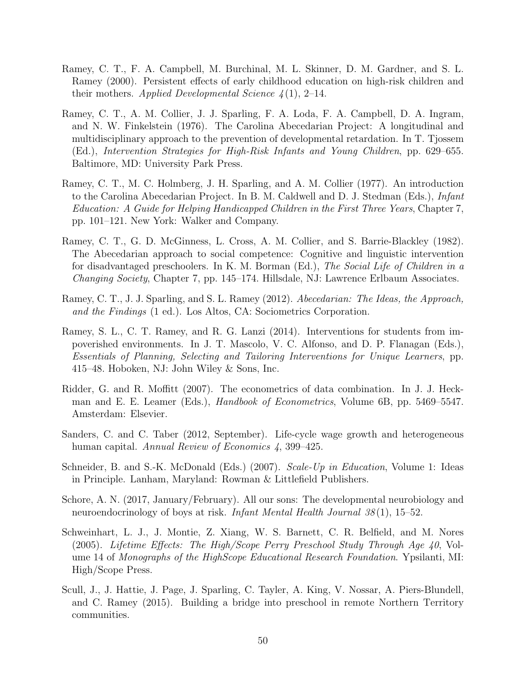- <span id="page-51-4"></span>Ramey, C. T., F. A. Campbell, M. Burchinal, M. L. Skinner, D. M. Gardner, and S. L. Ramey (2000). Persistent effects of early childhood education on high-risk children and their mothers. Applied Developmental Science  $\frac{1}{4}(1)$ , 2–14.
- <span id="page-51-8"></span>Ramey, C. T., A. M. Collier, J. J. Sparling, F. A. Loda, F. A. Campbell, D. A. Ingram, and N. W. Finkelstein (1976). The Carolina Abecedarian Project: A longitudinal and multidisciplinary approach to the prevention of developmental retardation. In T. Tjossem (Ed.), Intervention Strategies for High-Risk Infants and Young Children, pp. 629–655. Baltimore, MD: University Park Press.
- <span id="page-51-9"></span>Ramey, C. T., M. C. Holmberg, J. H. Sparling, and A. M. Collier (1977). An introduction to the Carolina Abecedarian Project. In B. M. Caldwell and D. J. Stedman (Eds.), Infant Education: A Guide for Helping Handicapped Children in the First Three Years, Chapter 7, pp. 101–121. New York: Walker and Company.
- <span id="page-51-10"></span>Ramey, C. T., G. D. McGinness, L. Cross, A. M. Collier, and S. Barrie-Blackley (1982). The Abecedarian approach to social competence: Cognitive and linguistic intervention for disadvantaged preschoolers. In K. M. Borman (Ed.), The Social Life of Children in a Changing Society, Chapter 7, pp. 145–174. Hillsdale, NJ: Lawrence Erlbaum Associates.
- <span id="page-51-5"></span>Ramey, C. T., J. J. Sparling, and S. L. Ramey (2012). Abecedarian: The Ideas, the Approach, and the Findings (1 ed.). Los Altos, CA: Sociometrics Corporation.
- <span id="page-51-0"></span>Ramey, S. L., C. T. Ramey, and R. G. Lanzi (2014). Interventions for students from impoverished environments. In J. T. Mascolo, V. C. Alfonso, and D. P. Flanagan (Eds.), Essentials of Planning, Selecting and Tailoring Interventions for Unique Learners, pp. 415–48. Hoboken, NJ: John Wiley & Sons, Inc.
- <span id="page-51-6"></span>Ridder, G. and R. Moffitt (2007). The econometrics of data combination. In J. J. Heckman and E. E. Leamer (Eds.), *Handbook of Econometrics*, Volume 6B, pp. 5469–5547. Amsterdam: Elsevier.
- <span id="page-51-11"></span>Sanders, C. and C. Taber (2012, September). Life-cycle wage growth and heterogeneous human capital. Annual Review of Economics 4, 399–425.
- <span id="page-51-1"></span>Schneider, B. and S.-K. McDonald (Eds.) (2007). Scale-Up in Education, Volume 1: Ideas in Principle. Lanham, Maryland: Rowman & Littlefield Publishers.
- <span id="page-51-7"></span>Schore, A. N. (2017, January/February). All our sons: The developmental neurobiology and neuroendocrinology of boys at risk. *Infant Mental Health Journal 38*(1), 15–52.
- <span id="page-51-3"></span>Schweinhart, L. J., J. Montie, Z. Xiang, W. S. Barnett, C. R. Belfield, and M. Nores (2005). Lifetime Effects: The High/Scope Perry Preschool Study Through Age 40, Volume 14 of Monographs of the HighScope Educational Research Foundation. Ypsilanti, MI: High/Scope Press.
- <span id="page-51-2"></span>Scull, J., J. Hattie, J. Page, J. Sparling, C. Tayler, A. King, V. Nossar, A. Piers-Blundell, and C. Ramey (2015). Building a bridge into preschool in remote Northern Territory communities.